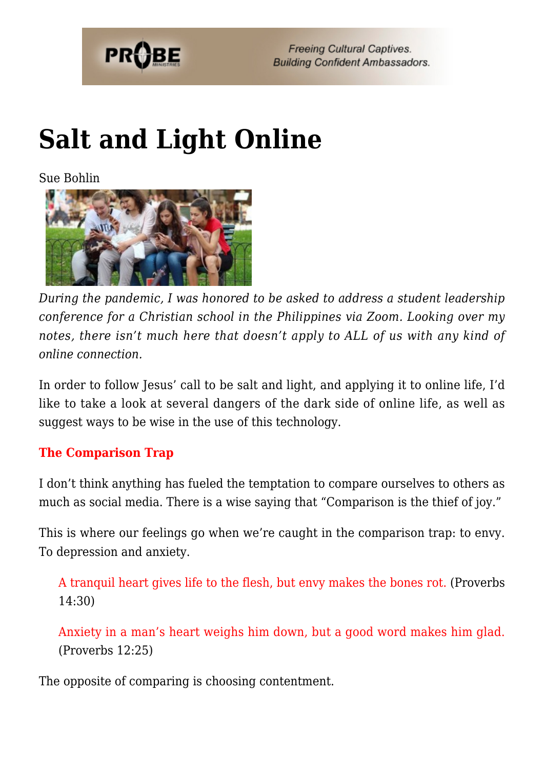

## **[Salt and Light Online](https://probe.org/salt-and-light-online/)**

Sue Bohlin



*During the pandemic, I was honored to be asked to address a student leadership conference for a Christian school in the Philippines via Zoom. Looking over my notes, there isn't much here that doesn't apply to ALL of us with any kind of online connection.*

In order to follow Jesus' call to be salt and light, and applying it to online life, I'd like to take a look at several dangers of the dark side of online life, as well as suggest ways to be wise in the use of this technology.

#### **The Comparison Trap**

I don't think anything has fueled the temptation to compare ourselves to others as much as social media. There is a wise saying that "Comparison is the thief of joy."

This is where our feelings go when we're caught in the comparison trap: to envy. To depression and anxiety.

A tranquil heart gives life to the flesh, but envy makes the bones rot. (Proverbs 14:30)

Anxiety in a man's heart weighs him down, but a good word makes him glad. (Proverbs 12:25)

The opposite of comparing is choosing contentment.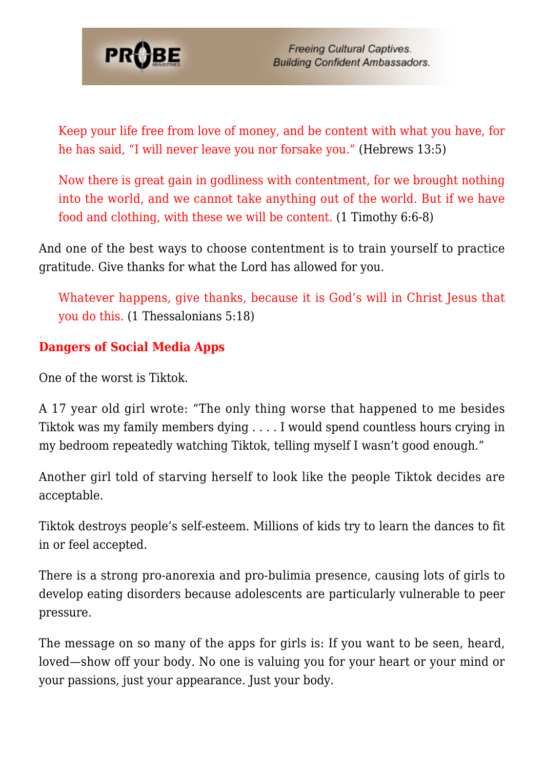

Keep your life free from love of money, and be content with what you have, for he has said, "I will never leave you nor forsake you." (Hebrews 13:5)

Now there is great gain in godliness with contentment, for we brought nothing into the world, and we cannot take anything out of the world. But if we have food and clothing, with these we will be content. (1 Timothy 6:6-8)

And one of the best ways to choose contentment is to train yourself to practice gratitude. Give thanks for what the Lord has allowed for you.

Whatever happens, give thanks, because it is God's will in Christ Jesus that you do this. (1 Thessalonians 5:18)

### **Dangers of Social Media Apps**

One of the worst is Tiktok.

A 17 year old girl wrote: "The only thing worse that happened to me besides Tiktok was my family members dying . . . . I would spend countless hours crying in my bedroom repeatedly watching Tiktok, telling myself I wasn't good enough."

Another girl told of starving herself to look like the people Tiktok decides are acceptable.

Tiktok destroys people's self-esteem. Millions of kids try to learn the dances to fit in or feel accepted.

There is a strong pro-anorexia and pro-bulimia presence, causing lots of girls to develop eating disorders because adolescents are particularly vulnerable to peer pressure.

The message on so many of the apps for girls is: If you want to be seen, heard, loved—show off your body. No one is valuing you for your heart or your mind or your passions, just your appearance. Just your body.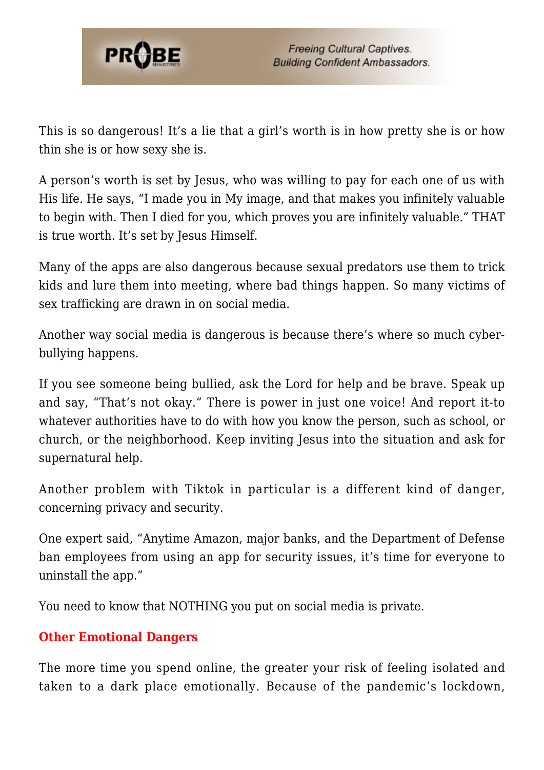

This is so dangerous! It's a lie that a girl's worth is in how pretty she is or how thin she is or how sexy she is.

A person's worth is set by Jesus, who was willing to pay for each one of us with His life. He says, "I made you in My image, and that makes you infinitely valuable to begin with. Then I died for you, which proves you are infinitely valuable." THAT is true worth. It's set by Jesus Himself.

Many of the apps are also dangerous because sexual predators use them to trick kids and lure them into meeting, where bad things happen. So many victims of sex trafficking are drawn in on social media.

Another way social media is dangerous is because there's where so much cyberbullying happens.

If you see someone being bullied, ask the Lord for help and be brave. Speak up and say, "That's not okay." There is power in just one voice! And report it-to whatever authorities have to do with how you know the person, such as school, or church, or the neighborhood. Keep inviting Jesus into the situation and ask for supernatural help.

Another problem with Tiktok in particular is a different kind of danger, concerning privacy and security.

One expert said, "Anytime Amazon, major banks, and the Department of Defense ban employees from using an app for security issues, it's time for everyone to uninstall the app."

You need to know that NOTHING you put on social media is private.

### **Other Emotional Dangers**

The more time you spend online, the greater your risk of feeling isolated and taken to a dark place emotionally. Because of the pandemic's lockdown,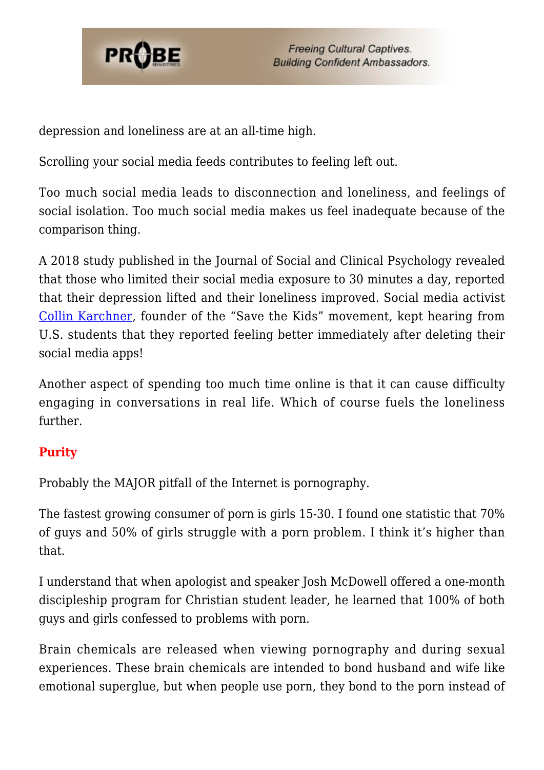

depression and loneliness are at an all-time high.

Scrolling your social media feeds contributes to feeling left out.

Too much social media leads to disconnection and loneliness, and feelings of social isolation. Too much social media makes us feel inadequate because of the comparison thing.

A 2018 study published in the Journal of Social and Clinical Psychology revealed that those who limited their social media exposure to 30 minutes a day, reported that their depression lifted and their loneliness improved. Social media activist [Collin Karchner](https://youtu.be/uMb0wqTqE_4), founder of the "Save the Kids" movement, kept hearing from U.S. students that they reported feeling better immediately after deleting their social media apps!

Another aspect of spending too much time online is that it can cause difficulty engaging in conversations in real life. Which of course fuels the loneliness further.

### **Purity**

Probably the MAJOR pitfall of the Internet is pornography.

The fastest growing consumer of porn is girls 15-30. I found one statistic that 70% of guys and 50% of girls struggle with a porn problem. I think it's higher than that.

I understand that when apologist and speaker Josh McDowell offered a one-month discipleship program for Christian student leader, he learned that 100% of both guys and girls confessed to problems with porn.

Brain chemicals are released when viewing pornography and during sexual experiences. These brain chemicals are intended to bond husband and wife like emotional superglue, but when people use porn, they bond to the porn instead of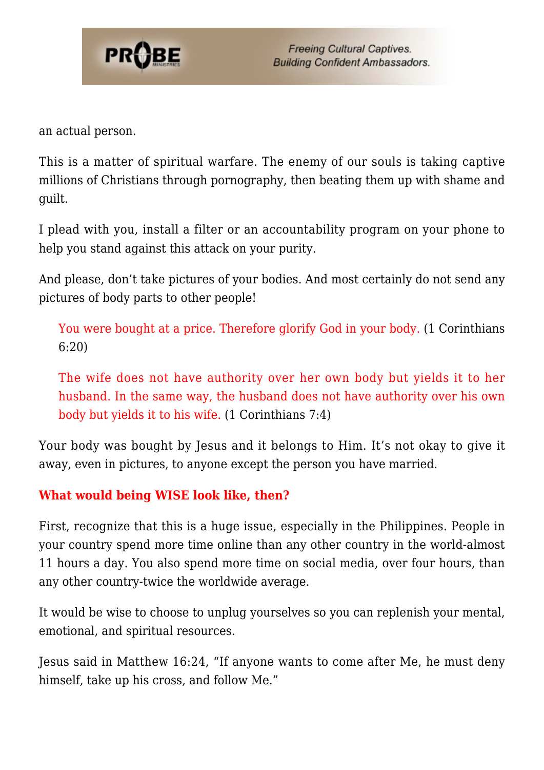

an actual person.

This is a matter of spiritual warfare. The enemy of our souls is taking captive millions of Christians through pornography, then beating them up with shame and guilt.

I plead with you, install a filter or an accountability program on your phone to help you stand against this attack on your purity.

And please, don't take pictures of your bodies. And most certainly do not send any pictures of body parts to other people!

You were bought at a price. Therefore glorify God in your body. (1 Corinthians 6:20)

The wife does not have authority over her own body but yields it to her husband. In the same way, the husband does not have authority over his own body but yields it to his wife. (1 Corinthians 7:4)

Your body was bought by Jesus and it belongs to Him. It's not okay to give it away, even in pictures, to anyone except the person you have married.

#### **What would being WISE look like, then?**

First, recognize that this is a huge issue, especially in the Philippines. People in your country spend more time online than any other country in the world-almost 11 hours a day. You also spend more time on social media, over four hours, than any other country-twice the worldwide average.

It would be wise to choose to unplug yourselves so you can replenish your mental, emotional, and spiritual resources.

Jesus said in Matthew 16:24, "If anyone wants to come after Me, he must deny himself, take up his cross, and follow Me."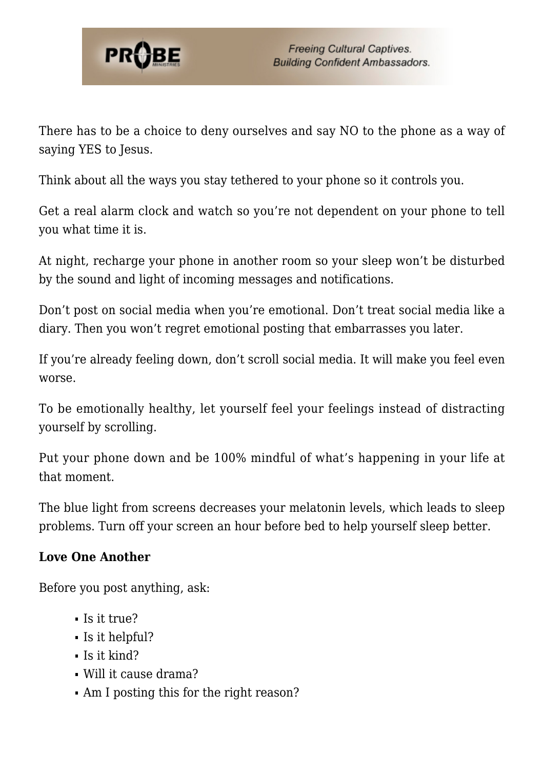

There has to be a choice to deny ourselves and say NO to the phone as a way of saying YES to Jesus.

Think about all the ways you stay tethered to your phone so it controls you.

Get a real alarm clock and watch so you're not dependent on your phone to tell you what time it is.

At night, recharge your phone in another room so your sleep won't be disturbed by the sound and light of incoming messages and notifications.

Don't post on social media when you're emotional. Don't treat social media like a diary. Then you won't regret emotional posting that embarrasses you later.

If you're already feeling down, don't scroll social media. It will make you feel even worse.

To be emotionally healthy, let yourself feel your feelings instead of distracting yourself by scrolling.

Put your phone down and be 100% mindful of what's happening in your life at that moment.

The blue light from screens decreases your melatonin levels, which leads to sleep problems. Turn off your screen an hour before bed to help yourself sleep better.

#### **Love One Another**

Before you post anything, ask:

- $\blacksquare$  Is it true?
- Is it helpful?
- $\blacksquare$  Is it kind?
- Will it cause drama?
- Am I posting this for the right reason?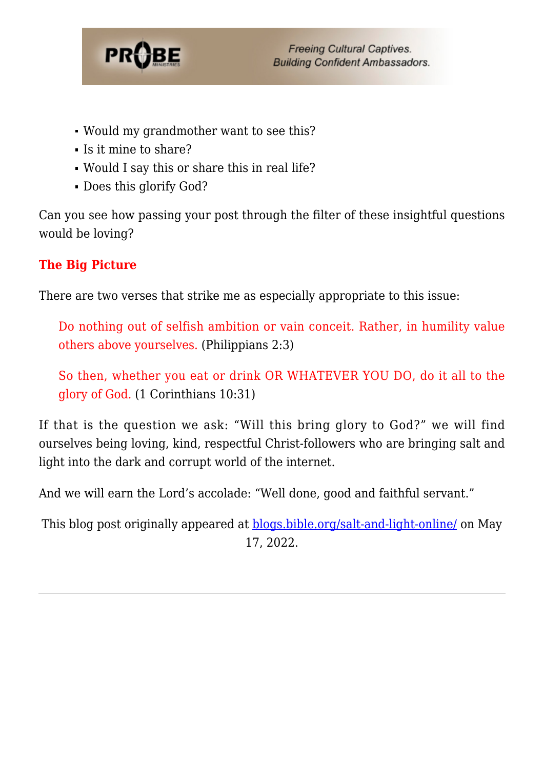

- Would my grandmother want to see this?
- Is it mine to share?
- Would I say this or share this in real life?
- Does this glorify God?

Can you see how passing your post through the filter of these insightful questions would be loving?

### **The Big Picture**

There are two verses that strike me as especially appropriate to this issue:

Do nothing out of selfish ambition or vain conceit. Rather, in humility value others above yourselves. (Philippians 2:3)

So then, whether you eat or drink OR WHATEVER YOU DO, do it all to the glory of God. (1 Corinthians 10:31)

If that is the question we ask: "Will this bring glory to God?" we will find ourselves being loving, kind, respectful Christ-followers who are bringing salt and light into the dark and corrupt world of the internet.

And we will earn the Lord's accolade: "Well done, good and faithful servant."

This blog post originally appeared at [blogs.bible.org/salt-and-light-online/](https://blogs.bible.org/salt-and-light-online/) on May 17, 2022.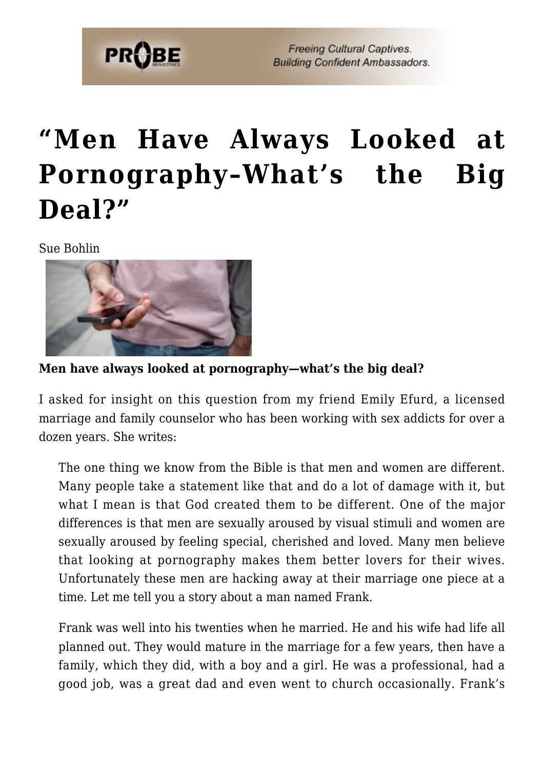

## **["Men Have Always Looked at](https://probe.org/men-have-always-looked-at-pornography-whats-the-big-deal/) [Pornography–What's the Big](https://probe.org/men-have-always-looked-at-pornography-whats-the-big-deal/) [Deal?"](https://probe.org/men-have-always-looked-at-pornography-whats-the-big-deal/)**

Sue Bohlin



**Men have always looked at pornography—what's the big deal?**

I asked for insight on this question from my friend Emily Efurd, a licensed marriage and family counselor who has been working with sex addicts for over a dozen years. She writes:

The one thing we know from the Bible is that men and women are different. Many people take a statement like that and do a lot of damage with it, but what I mean is that God created them to be different. One of the major differences is that men are sexually aroused by visual stimuli and women are sexually aroused by feeling special, cherished and loved. Many men believe that looking at pornography makes them better lovers for their wives. Unfortunately these men are hacking away at their marriage one piece at a time. Let me tell you a story about a man named Frank.

Frank was well into his twenties when he married. He and his wife had life all planned out. They would mature in the marriage for a few years, then have a family, which they did, with a boy and a girl. He was a professional, had a good job, was a great dad and even went to church occasionally. Frank's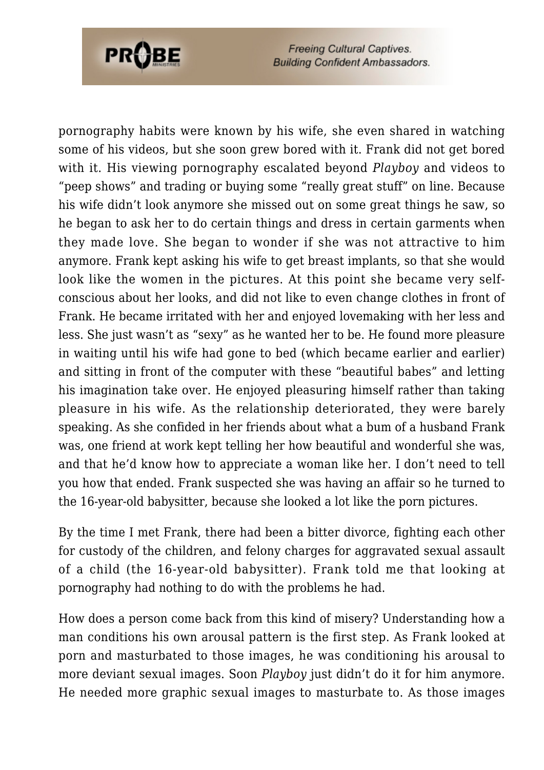

pornography habits were known by his wife, she even shared in watching some of his videos, but she soon grew bored with it. Frank did not get bored with it. His viewing pornography escalated beyond *Playboy* and videos to "peep shows" and trading or buying some "really great stuff" on line. Because his wife didn't look anymore she missed out on some great things he saw, so he began to ask her to do certain things and dress in certain garments when they made love. She began to wonder if she was not attractive to him anymore. Frank kept asking his wife to get breast implants, so that she would look like the women in the pictures. At this point she became very selfconscious about her looks, and did not like to even change clothes in front of Frank. He became irritated with her and enjoyed lovemaking with her less and less. She just wasn't as "sexy" as he wanted her to be. He found more pleasure in waiting until his wife had gone to bed (which became earlier and earlier) and sitting in front of the computer with these "beautiful babes" and letting his imagination take over. He enjoyed pleasuring himself rather than taking pleasure in his wife. As the relationship deteriorated, they were barely speaking. As she confided in her friends about what a bum of a husband Frank was, one friend at work kept telling her how beautiful and wonderful she was, and that he'd know how to appreciate a woman like her. I don't need to tell you how that ended. Frank suspected she was having an affair so he turned to the 16-year-old babysitter, because she looked a lot like the porn pictures.

By the time I met Frank, there had been a bitter divorce, fighting each other for custody of the children, and felony charges for aggravated sexual assault of a child (the 16-year-old babysitter). Frank told me that looking at pornography had nothing to do with the problems he had.

How does a person come back from this kind of misery? Understanding how a man conditions his own arousal pattern is the first step. As Frank looked at porn and masturbated to those images, he was conditioning his arousal to more deviant sexual images. Soon *Playboy* just didn't do it for him anymore. He needed more graphic sexual images to masturbate to. As those images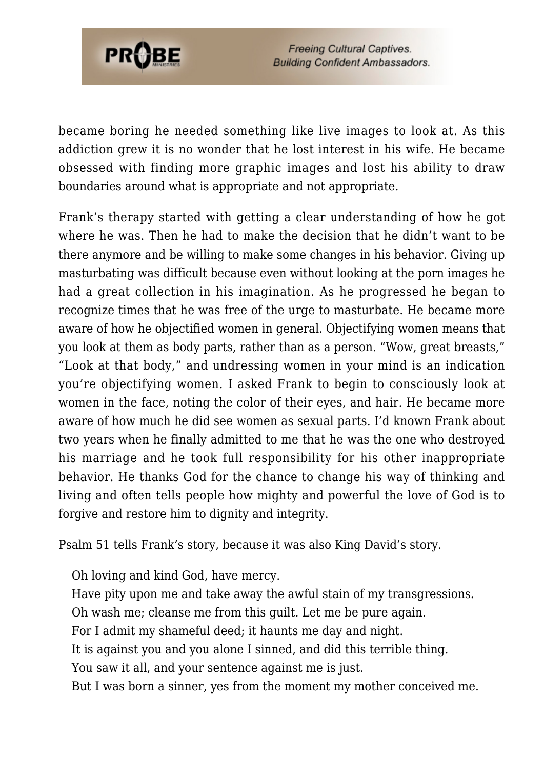

became boring he needed something like live images to look at. As this addiction grew it is no wonder that he lost interest in his wife. He became obsessed with finding more graphic images and lost his ability to draw boundaries around what is appropriate and not appropriate.

Frank's therapy started with getting a clear understanding of how he got where he was. Then he had to make the decision that he didn't want to be there anymore and be willing to make some changes in his behavior. Giving up masturbating was difficult because even without looking at the porn images he had a great collection in his imagination. As he progressed he began to recognize times that he was free of the urge to masturbate. He became more aware of how he objectified women in general. Objectifying women means that you look at them as body parts, rather than as a person. "Wow, great breasts," "Look at that body," and undressing women in your mind is an indication you're objectifying women. I asked Frank to begin to consciously look at women in the face, noting the color of their eyes, and hair. He became more aware of how much he did see women as sexual parts. I'd known Frank about two years when he finally admitted to me that he was the one who destroyed his marriage and he took full responsibility for his other inappropriate behavior. He thanks God for the chance to change his way of thinking and living and often tells people how mighty and powerful the love of God is to forgive and restore him to dignity and integrity.

Psalm 51 tells Frank's story, because it was also King David's story.

Oh loving and kind God, have mercy. Have pity upon me and take away the awful stain of my transgressions. Oh wash me; cleanse me from this guilt. Let me be pure again. For I admit my shameful deed; it haunts me day and night. It is against you and you alone I sinned, and did this terrible thing. You saw it all, and your sentence against me is just. But I was born a sinner, yes from the moment my mother conceived me.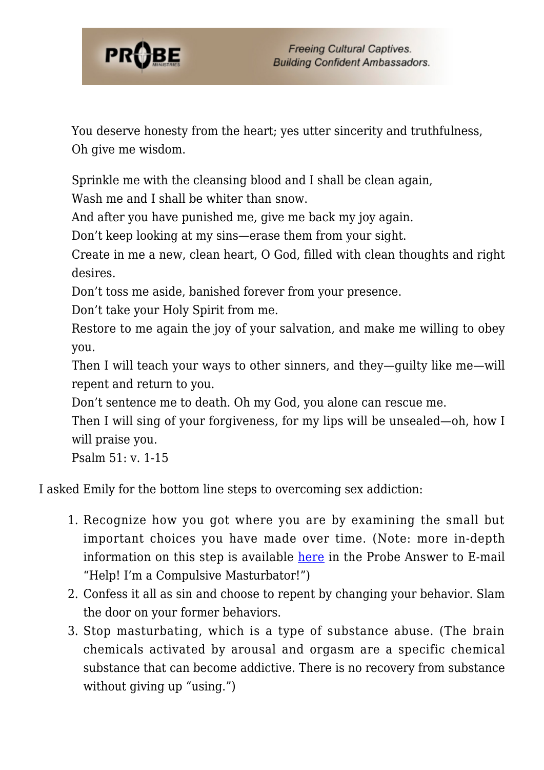

You deserve honesty from the heart; yes utter sincerity and truthfulness, Oh give me wisdom.

Sprinkle me with the cleansing blood and I shall be clean again,

Wash me and I shall be whiter than snow.

And after you have punished me, give me back my joy again.

Don't keep looking at my sins—erase them from your sight.

Create in me a new, clean heart, O God, filled with clean thoughts and right desires.

Don't toss me aside, banished forever from your presence.

Don't take your Holy Spirit from me.

Restore to me again the joy of your salvation, and make me willing to obey you.

Then I will teach your ways to other sinners, and they—guilty like me—will repent and return to you.

Don't sentence me to death. Oh my God, you alone can rescue me.

Then I will sing of your forgiveness, for my lips will be unsealed—oh, how I will praise you.

Psalm 51: v. 1-15

I asked Emily for the bottom line steps to overcoming sex addiction:

- 1. Recognize how you got where you are by examining the small but important choices you have made over time. (Note: more in-depth information on this step is available [here](https://probe.org/im-a-compulsive-masturbator/) in the Probe Answer to E-mail "Help! I'm a Compulsive Masturbator!")
- 2. Confess it all as sin and choose to repent by changing your behavior. Slam the door on your former behaviors.
- 3. Stop masturbating, which is a type of substance abuse. (The brain chemicals activated by arousal and orgasm are a specific chemical substance that can become addictive. There is no recovery from substance without giving up "using.")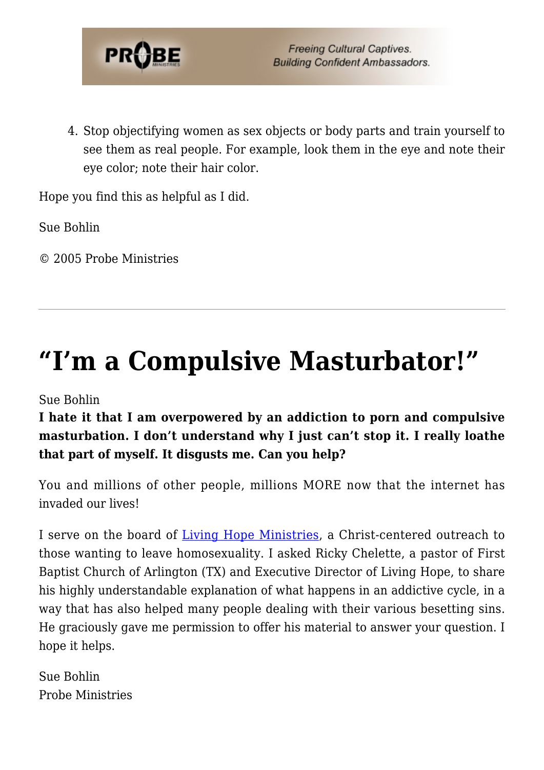

4. Stop objectifying women as sex objects or body parts and train yourself to see them as real people. For example, look them in the eye and note their eye color; note their hair color.

Hope you find this as helpful as I did.

Sue Bohlin

© 2005 Probe Ministries

## **["I'm a Compulsive Masturbator!"](https://probe.org/im-a-compulsive-masturbator/)**

Sue Bohlin

### **I hate it that I am overpowered by an addiction to porn and compulsive masturbation. I don't understand why I just can't stop it. I really loathe that part of myself. It disgusts me. Can you help?**

You and millions of other people, millions MORE now that the internet has invaded our lives!

I serve on the board of [Living Hope Ministries](http://www.livehope.org), a Christ-centered outreach to those wanting to leave homosexuality. I asked Ricky Chelette, a pastor of First Baptist Church of Arlington (TX) and Executive Director of Living Hope, to share his highly understandable explanation of what happens in an addictive cycle, in a way that has also helped many people dealing with their various besetting sins. He graciously gave me permission to offer his material to answer your question. I hope it helps.

Sue Bohlin Probe Ministries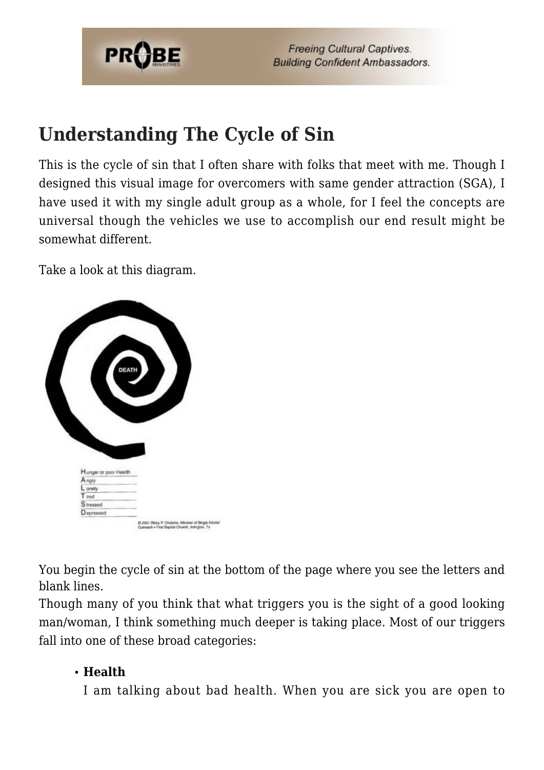

## **Understanding The Cycle of Sin**

This is the cycle of sin that I often share with folks that meet with me. Though I designed this visual image for overcomers with same gender attraction (SGA), I have used it with my single adult group as a whole, for I feel the concepts are universal though the vehicles we use to accomplish our end result might be somewhat different.

Take a look at this diagram.



You begin the cycle of sin at the bottom of the page where you see the letters and blank lines.

Though many of you think that what triggers you is the sight of a good looking man/woman, I think something much deeper is taking place. Most of our triggers fall into one of these broad categories:

#### **Health**

I am talking about bad health. When you are sick you are open to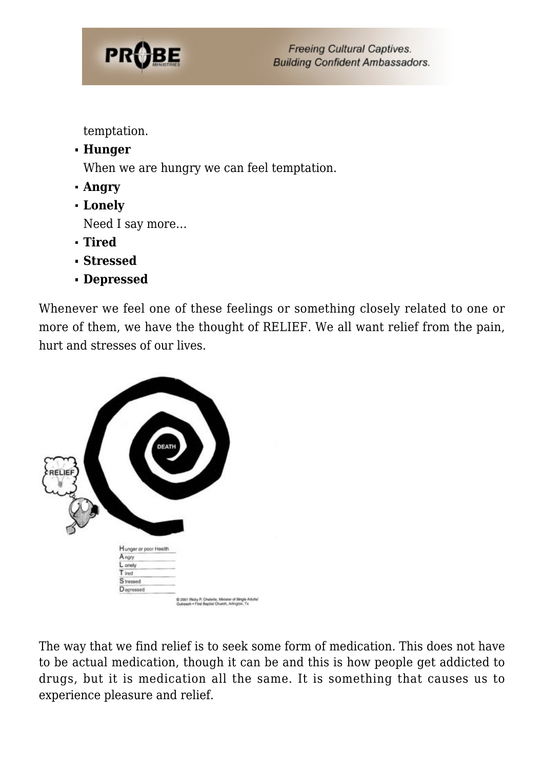

temptation.

**Hunger**

When we are hungry we can feel temptation.

- **Angry**
- **Lonely**

Need I say more…

- **Tired**
- **Stressed**
- **Depressed**

Whenever we feel one of these feelings or something closely related to one or more of them, we have the thought of RELIEF. We all want relief from the pain, hurt and stresses of our lives.



The way that we find relief is to seek some form of medication. This does not have to be actual medication, though it can be and this is how people get addicted to drugs, but it is medication all the same. It is something that causes us to experience pleasure and relief.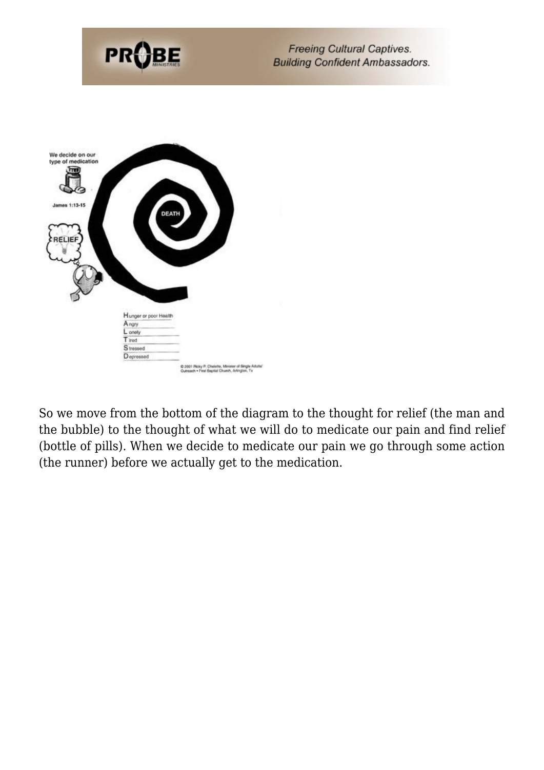

So we move from the bottom of the diagram to the thought for relief (the man and the bubble) to the thought of what we will do to medicate our pain and find relief (bottle of pills). When we decide to medicate our pain we go through some action (the runner) before we actually get to the medication.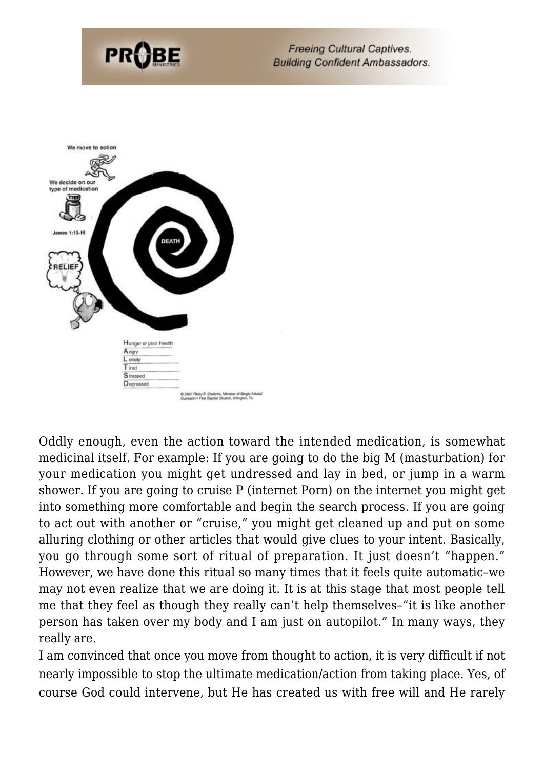



Oddly enough, even the action toward the intended medication, is somewhat medicinal itself. For example: If you are going to do the big M (masturbation) for your medication you might get undressed and lay in bed, or jump in a warm shower. If you are going to cruise P (internet Porn) on the internet you might get into something more comfortable and begin the search process. If you are going to act out with another or "cruise," you might get cleaned up and put on some alluring clothing or other articles that would give clues to your intent. Basically, you go through some sort of ritual of preparation. It just doesn't "happen." However, we have done this ritual so many times that it feels quite automatic–we may not even realize that we are doing it. It is at this stage that most people tell me that they feel as though they really can't help themselves–"it is like another person has taken over my body and I am just on autopilot." In many ways, they really are.

I am convinced that once you move from thought to action, it is very difficult if not nearly impossible to stop the ultimate medication/action from taking place. Yes, of course God could intervene, but He has created us with free will and He rarely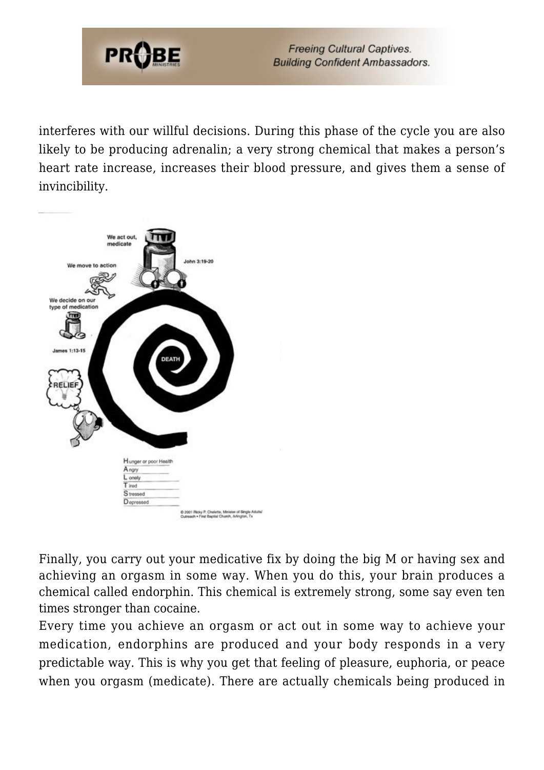

interferes with our willful decisions. During this phase of the cycle you are also likely to be producing adrenalin; a very strong chemical that makes a person's heart rate increase, increases their blood pressure, and gives them a sense of invincibility.



Finally, you carry out your medicative fix by doing the big M or having sex and achieving an orgasm in some way. When you do this, your brain produces a chemical called endorphin. This chemical is extremely strong, some say even ten times stronger than cocaine.

Every time you achieve an orgasm or act out in some way to achieve your medication, endorphins are produced and your body responds in a very predictable way. This is why you get that feeling of pleasure, euphoria, or peace when you orgasm (medicate). There are actually chemicals being produced in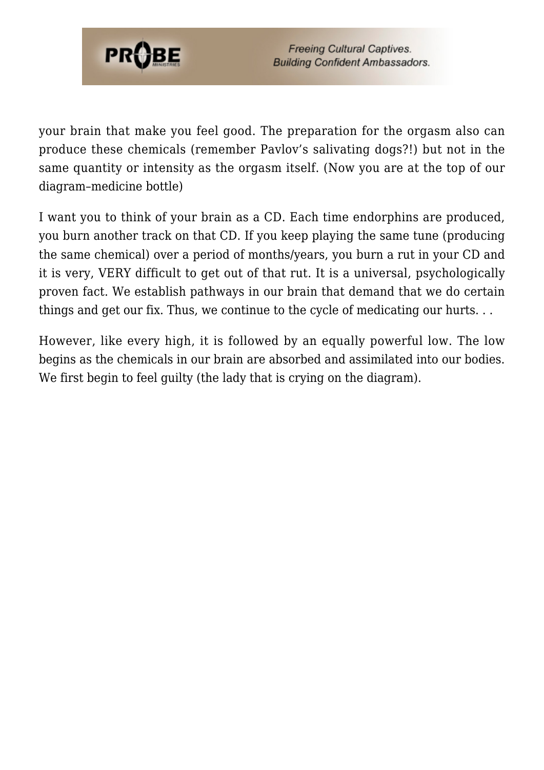

your brain that make you feel good. The preparation for the orgasm also can produce these chemicals (remember Pavlov's salivating dogs?!) but not in the same quantity or intensity as the orgasm itself. (Now you are at the top of our diagram–medicine bottle)

I want you to think of your brain as a CD. Each time endorphins are produced, you burn another track on that CD. If you keep playing the same tune (producing the same chemical) over a period of months/years, you burn a rut in your CD and it is very, VERY difficult to get out of that rut. It is a universal, psychologically proven fact. We establish pathways in our brain that demand that we do certain things and get our fix. Thus, we continue to the cycle of medicating our hurts. . .

However, like every high, it is followed by an equally powerful low. The low begins as the chemicals in our brain are absorbed and assimilated into our bodies. We first begin to feel guilty (the lady that is crying on the diagram).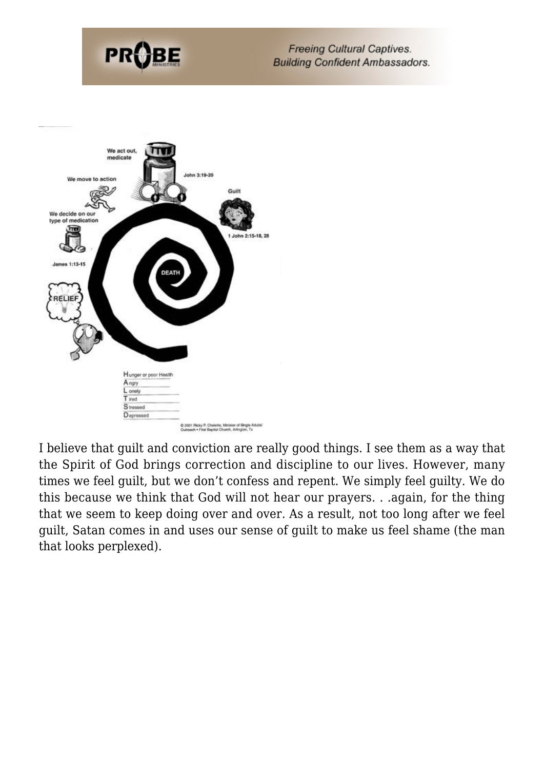



I believe that guilt and conviction are really good things. I see them as a way that the Spirit of God brings correction and discipline to our lives. However, many times we feel guilt, but we don't confess and repent. We simply feel guilty. We do this because we think that God will not hear our prayers. . .again, for the thing that we seem to keep doing over and over. As a result, not too long after we feel guilt, Satan comes in and uses our sense of guilt to make us feel shame (the man that looks perplexed).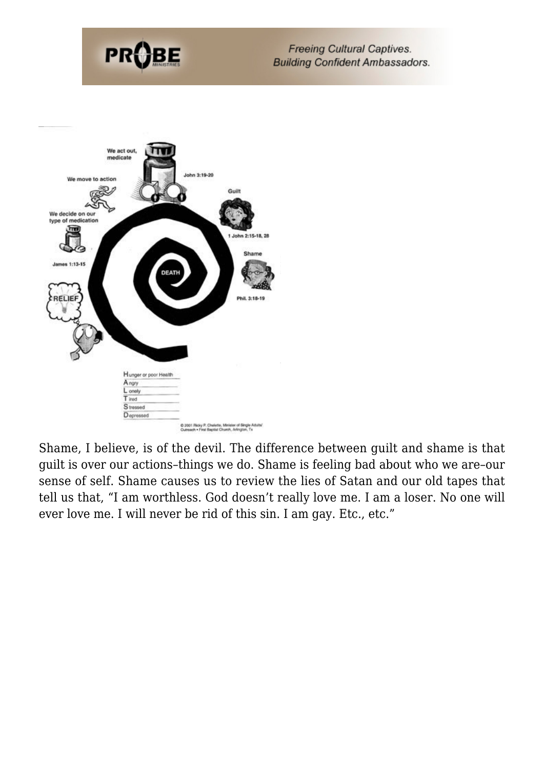



Shame, I believe, is of the devil. The difference between guilt and shame is that guilt is over our actions–things we do. Shame is feeling bad about who we are–our sense of self. Shame causes us to review the lies of Satan and our old tapes that tell us that, "I am worthless. God doesn't really love me. I am a loser. No one will ever love me. I will never be rid of this sin. I am gay. Etc., etc."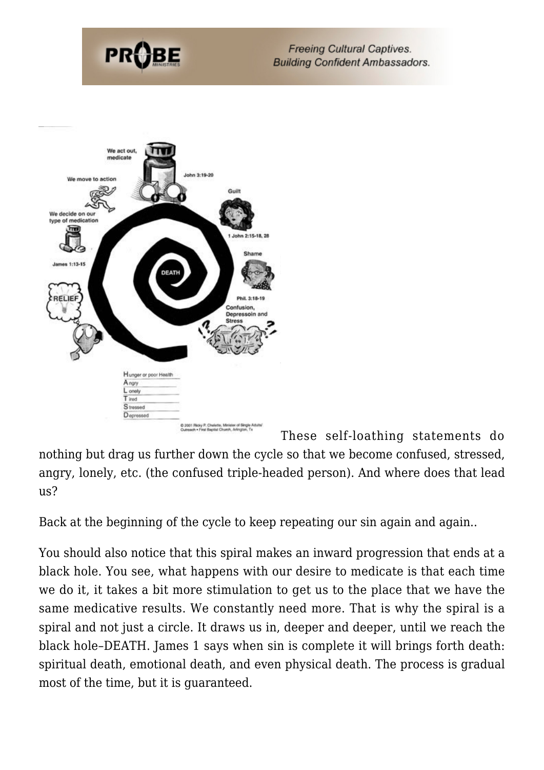

These self-loathing statements do nothing but drag us further down the cycle so that we become confused, stressed, angry, lonely, etc. (the confused triple-headed person). And where does that lead us?

Back at the beginning of the cycle to keep repeating our sin again and again..

You should also notice that this spiral makes an inward progression that ends at a black hole. You see, what happens with our desire to medicate is that each time we do it, it takes a bit more stimulation to get us to the place that we have the same medicative results. We constantly need more. That is why the spiral is a spiral and not just a circle. It draws us in, deeper and deeper, until we reach the black hole–DEATH. James 1 says when sin is complete it will brings forth death: spiritual death, emotional death, and even physical death. The process is gradual most of the time, but it is guaranteed.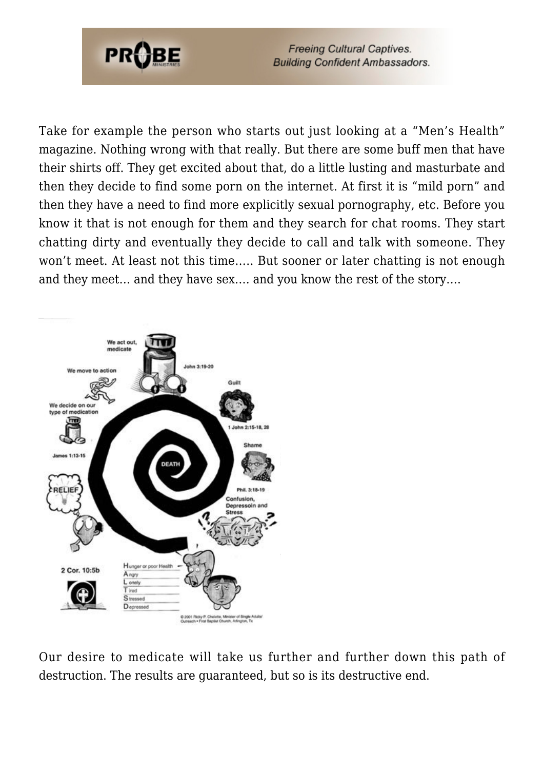

Take for example the person who starts out just looking at a "Men's Health" magazine. Nothing wrong with that really. But there are some buff men that have their shirts off. They get excited about that, do a little lusting and masturbate and then they decide to find some porn on the internet. At first it is "mild porn" and then they have a need to find more explicitly sexual pornography, etc. Before you know it that is not enough for them and they search for chat rooms. They start chatting dirty and eventually they decide to call and talk with someone. They won't meet. At least not this time….. But sooner or later chatting is not enough and they meet… and they have sex…. and you know the rest of the story….



Our desire to medicate will take us further and further down this path of destruction. The results are guaranteed, but so is its destructive end.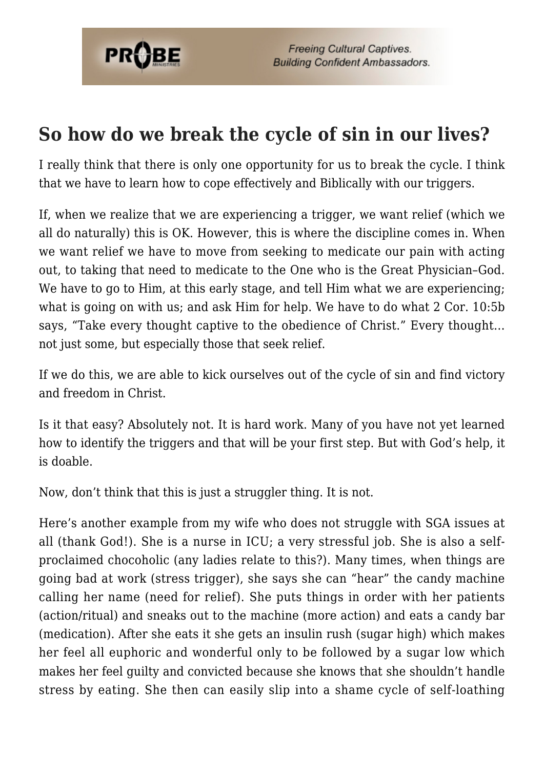

### **So how do we break the cycle of sin in our lives?**

I really think that there is only one opportunity for us to break the cycle. I think that we have to learn how to cope effectively and Biblically with our triggers.

If, when we realize that we are experiencing a trigger, we want relief (which we all do naturally) this is OK. However, this is where the discipline comes in. When we want relief we have to move from seeking to medicate our pain with acting out, to taking that need to medicate to the One who is the Great Physician–God. We have to go to Him, at this early stage, and tell Him what we are experiencing; what is going on with us; and ask Him for help. We have to do what 2 Cor. 10:5b says, "Take every thought captive to the obedience of Christ." Every thought… not just some, but especially those that seek relief.

If we do this, we are able to kick ourselves out of the cycle of sin and find victory and freedom in Christ.

Is it that easy? Absolutely not. It is hard work. Many of you have not yet learned how to identify the triggers and that will be your first step. But with God's help, it is doable.

Now, don't think that this is just a struggler thing. It is not.

Here's another example from my wife who does not struggle with SGA issues at all (thank God!). She is a nurse in ICU; a very stressful job. She is also a selfproclaimed chocoholic (any ladies relate to this?). Many times, when things are going bad at work (stress trigger), she says she can "hear" the candy machine calling her name (need for relief). She puts things in order with her patients (action/ritual) and sneaks out to the machine (more action) and eats a candy bar (medication). After she eats it she gets an insulin rush (sugar high) which makes her feel all euphoric and wonderful only to be followed by a sugar low which makes her feel guilty and convicted because she knows that she shouldn't handle stress by eating. She then can easily slip into a shame cycle of self-loathing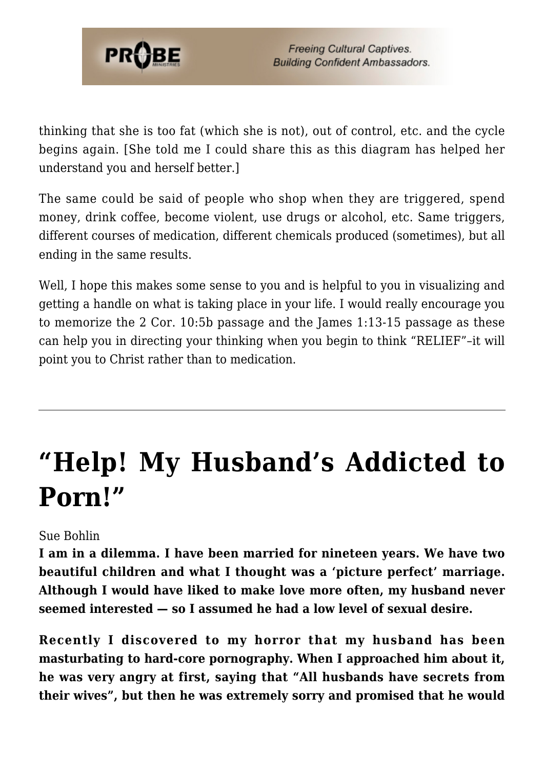

thinking that she is too fat (which she is not), out of control, etc. and the cycle begins again. [She told me I could share this as this diagram has helped her understand you and herself better.]

The same could be said of people who shop when they are triggered, spend money, drink coffee, become violent, use drugs or alcohol, etc. Same triggers, different courses of medication, different chemicals produced (sometimes), but all ending in the same results.

Well, I hope this makes some sense to you and is helpful to you in visualizing and getting a handle on what is taking place in your life. I would really encourage you to memorize the 2 Cor. 10:5b passage and the James 1:13-15 passage as these can help you in directing your thinking when you begin to think "RELIEF"–it will point you to Christ rather than to medication.

## **["Help! My Husband's Addicted to](https://probe.org/help-my-husbands-addicted-to-porn/) [Porn!"](https://probe.org/help-my-husbands-addicted-to-porn/)**

#### Sue Bohlin

**I am in a dilemma. I have been married for nineteen years. We have two beautiful children and what I thought was a 'picture perfect' marriage. Although I would have liked to make love more often, my husband never seemed interested — so I assumed he had a low level of sexual desire.**

**Recently I discovered to my horror that my husband has been masturbating to hard-core pornography. When I approached him about it, he was very angry at first, saying that "All husbands have secrets from their wives", but then he was extremely sorry and promised that he would**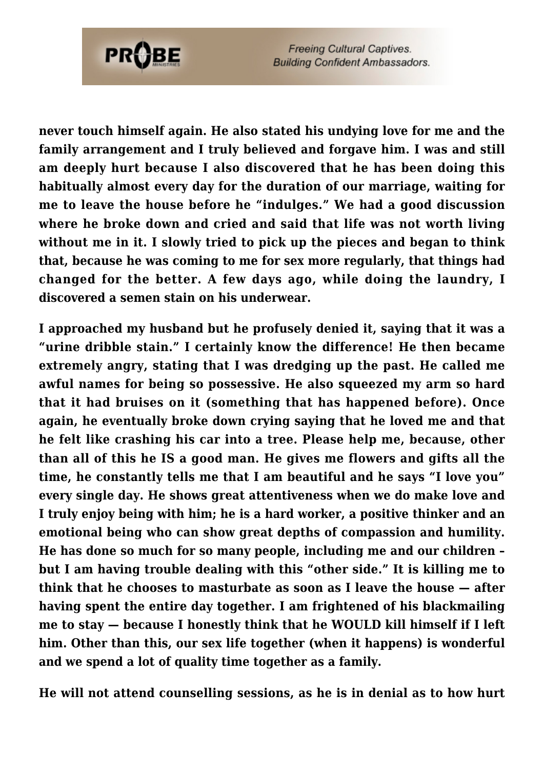

**never touch himself again. He also stated his undying love for me and the family arrangement and I truly believed and forgave him. I was and still am deeply hurt because I also discovered that he has been doing this habitually almost every day for the duration of our marriage, waiting for me to leave the house before he "indulges." We had a good discussion where he broke down and cried and said that life was not worth living without me in it. I slowly tried to pick up the pieces and began to think that, because he was coming to me for sex more regularly, that things had changed for the better. A few days ago, while doing the laundry, I discovered a semen stain on his underwear.**

**I approached my husband but he profusely denied it, saying that it was a "urine dribble stain." I certainly know the difference! He then became extremely angry, stating that I was dredging up the past. He called me awful names for being so possessive. He also squeezed my arm so hard that it had bruises on it (something that has happened before). Once again, he eventually broke down crying saying that he loved me and that he felt like crashing his car into a tree. Please help me, because, other than all of this he IS a good man. He gives me flowers and gifts all the time, he constantly tells me that I am beautiful and he says "I love you" every single day. He shows great attentiveness when we do make love and I truly enjoy being with him; he is a hard worker, a positive thinker and an emotional being who can show great depths of compassion and humility. He has done so much for so many people, including me and our children – but I am having trouble dealing with this "other side." It is killing me to think that he chooses to masturbate as soon as I leave the house — after having spent the entire day together. I am frightened of his blackmailing me to stay — because I honestly think that he WOULD kill himself if I left him. Other than this, our sex life together (when it happens) is wonderful and we spend a lot of quality time together as a family.**

**He will not attend counselling sessions, as he is in denial as to how hurt**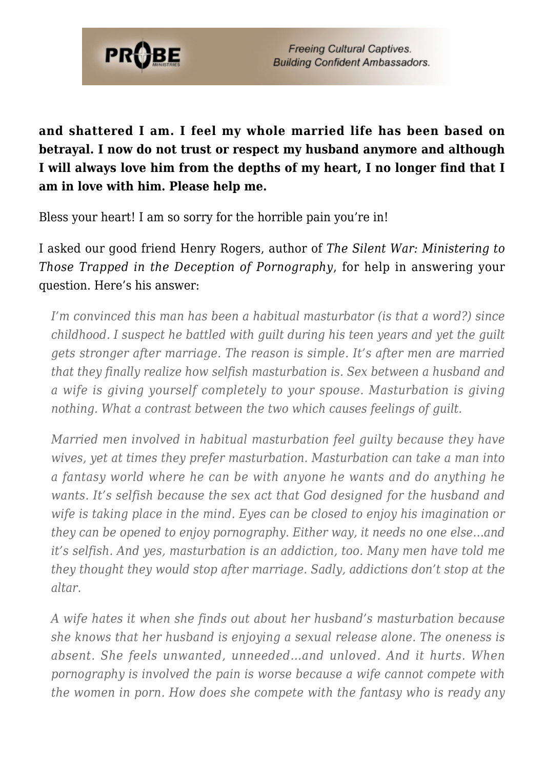

**and shattered I am. I feel my whole married life has been based on betrayal. I now do not trust or respect my husband anymore and although I will always love him from the depths of my heart, I no longer find that I am in love with him. Please help me.**

Bless your heart! I am so sorry for the horrible pain you're in!

I asked our good friend Henry Rogers, author of *The Silent War: Ministering to Those Trapped in the Deception of Pornography*, for help in answering your question. Here's his answer:

*I'm convinced this man has been a habitual masturbator (is that a word?) since childhood. I suspect he battled with guilt during his teen years and yet the guilt gets stronger after marriage. The reason is simple. It's after men are married that they finally realize how selfish masturbation is. Sex between a husband and a wife is giving yourself completely to your spouse. Masturbation is giving nothing. What a contrast between the two which causes feelings of guilt.*

*Married men involved in habitual masturbation feel guilty because they have wives, yet at times they prefer masturbation. Masturbation can take a man into a fantasy world where he can be with anyone he wants and do anything he wants. It's selfish because the sex act that God designed for the husband and wife is taking place in the mind. Eyes can be closed to enjoy his imagination or they can be opened to enjoy pornography. Either way, it needs no one else…and it's selfish. And yes, masturbation is an addiction, too. Many men have told me they thought they would stop after marriage. Sadly, addictions don't stop at the altar.*

*A wife hates it when she finds out about her husband's masturbation because she knows that her husband is enjoying a sexual release alone. The oneness is absent. She feels unwanted, unneeded…and unloved. And it hurts. When pornography is involved the pain is worse because a wife cannot compete with the women in porn. How does she compete with the fantasy who is ready any*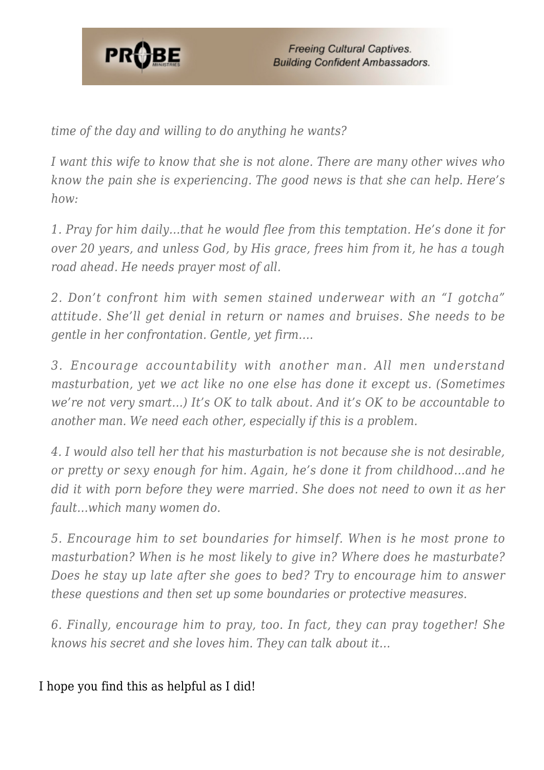

*time of the day and willing to do anything he wants?*

*I want this wife to know that she is not alone. There are many other wives who know the pain she is experiencing. The good news is that she can help. Here's how:*

*1. Pray for him daily…that he would flee from this temptation. He's done it for over 20 years, and unless God, by His grace, frees him from it, he has a tough road ahead. He needs prayer most of all.*

*2. Don't confront him with semen stained underwear with an "I gotcha" attitude. She'll get denial in return or names and bruises. She needs to be gentle in her confrontation. Gentle, yet firm….*

*3. Encourage accountability with another man. All men understand masturbation, yet we act like no one else has done it except us. (Sometimes we're not very smart…) It's OK to talk about. And it's OK to be accountable to another man. We need each other, especially if this is a problem.*

*4. I would also tell her that his masturbation is not because she is not desirable, or pretty or sexy enough for him. Again, he's done it from childhood…and he did it with porn before they were married. She does not need to own it as her fault…which many women do.*

*5. Encourage him to set boundaries for himself. When is he most prone to masturbation? When is he most likely to give in? Where does he masturbate? Does he stay up late after she goes to bed? Try to encourage him to answer these questions and then set up some boundaries or protective measures.*

*6. Finally, encourage him to pray, too. In fact, they can pray together! She knows his secret and she loves him. They can talk about it…*

I hope you find this as helpful as I did!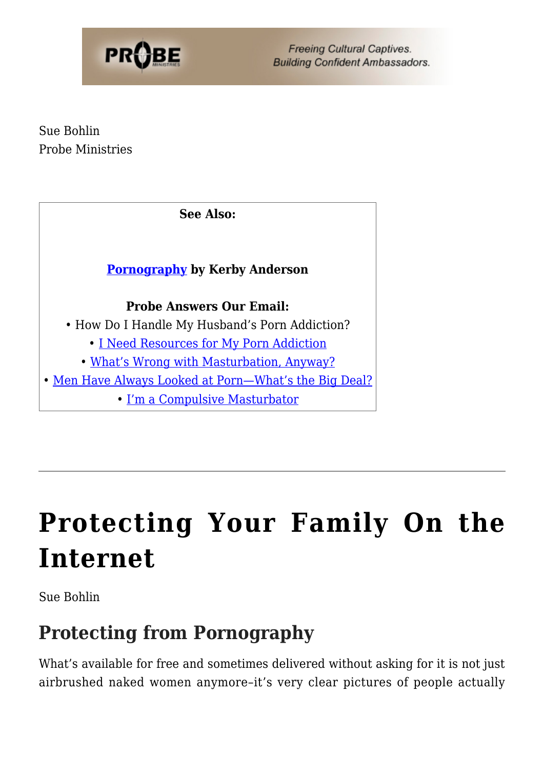

Sue Bohlin Probe Ministries

**See Also:**

### **[Pornography](https://www.probe.org/pornography/) by Kerby Anderson**

#### **Probe Answers Our Email:**

- How Do I Handle My Husband's Porn Addiction?
	- • [I Need Resources for My Porn Addiction](https://www.probe.org/i-need-resources-for-my-porn-addiction/)
	- [What's Wrong with Masturbation, Anyway?](https://www.probe.org/whats-wrong-with-masturbation-anyway/)
- • [Men Have Always Looked at Porn—What's the Big Deal?](https://www.probe.org/men-have-always-looked-at-pornography-whats-the-big-deal/)
	- [I'm a Compulsive Masturbator](https://www.probe.org/im-a-compulsive-masturbator/)

# **[Protecting Your Family On the](https://probe.org/protecting-your-family-on-the-internet/) [Internet](https://probe.org/protecting-your-family-on-the-internet/)**

Sue Bohlin

### **Protecting from Pornography**

What's available for free and sometimes delivered without asking for it is not just airbrushed naked women anymore–it's very clear pictures of people actually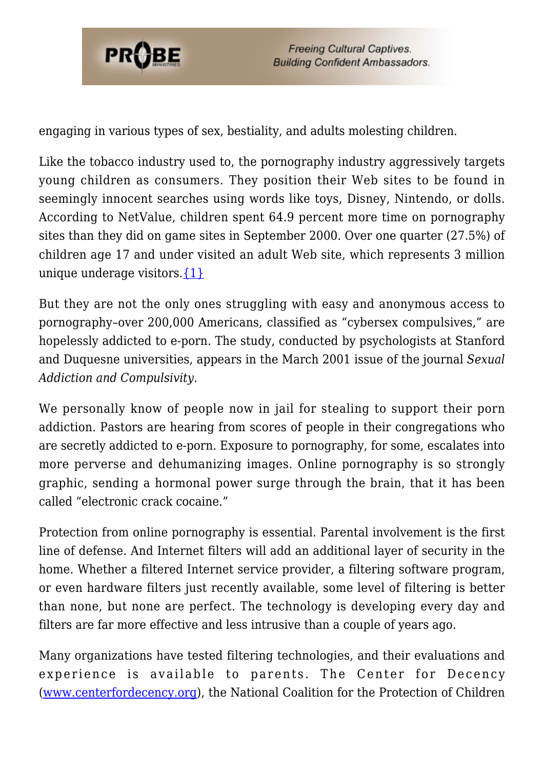

engaging in various types of sex, bestiality, and adults molesting children.

Like the tobacco industry used to, the pornography industry aggressively targets young children as consumers. They position their Web sites to be found in seemingly innocent searches using words like toys, Disney, Nintendo, or dolls. According to NetValue, children spent 64.9 percent more time on pornography sites than they did on game sites in September 2000. Over one quarter (27.5%) of children age 17 and under visited an adult Web site, which represents 3 million unique underage visitors. $\{1\}$ 

But they are not the only ones struggling with easy and anonymous access to pornography–over 200,000 Americans, classified as "cybersex compulsives," are hopelessly addicted to e-porn. The study, conducted by psychologists at Stanford and Duquesne universities, appears in the March 2001 issue of the journal *Sexual Addiction and Compulsivity.*

We personally know of people now in jail for stealing to support their porn addiction. Pastors are hearing from scores of people in their congregations who are secretly addicted to e-porn. Exposure to pornography, for some, escalates into more perverse and dehumanizing images. Online pornography is so strongly graphic, sending a hormonal power surge through the brain, that it has been called "electronic crack cocaine."

Protection from online pornography is essential. Parental involvement is the first line of defense. And Internet filters will add an additional layer of security in the home. Whether a filtered Internet service provider, a filtering software program, or even hardware filters just recently available, some level of filtering is better than none, but none are perfect. The technology is developing every day and filters are far more effective and less intrusive than a couple of years ago.

Many organizations have tested filtering technologies, and their evaluations and experience is available to parents. The Center for Decency [\(www.centerfordecency.org](http://www.centerfordecency.org/)), the National Coalition for the Protection of Children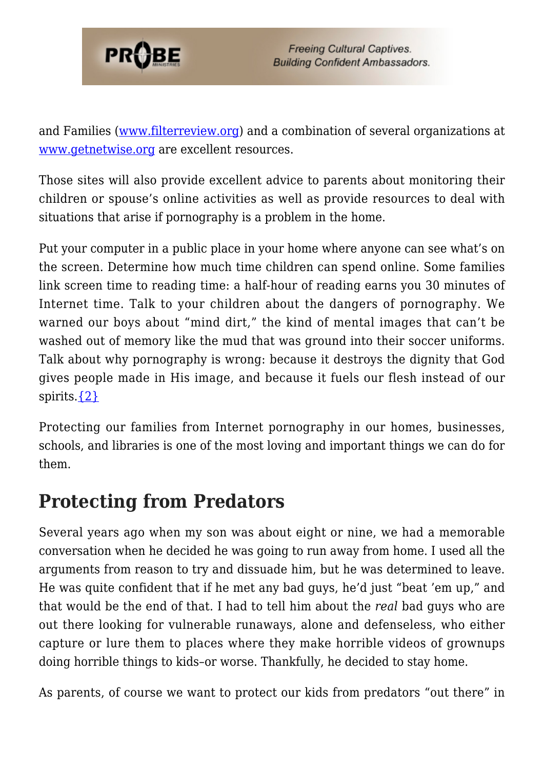

and Families [\(www.filterreview.org\)](http://www.filterreview.org/) and a combination of several organizations at [www.getnetwise.org](http://www.getnetwise.org/) are excellent resources.

Those sites will also provide excellent advice to parents about monitoring their children or spouse's online activities as well as provide resources to deal with situations that arise if pornography is a problem in the home.

Put your computer in a public place in your home where anyone can see what's on the screen. Determine how much time children can spend online. Some families link screen time to reading time: a half-hour of reading earns you 30 minutes of Internet time. Talk to your children about the dangers of pornography. We warned our boys about "mind dirt," the kind of mental images that can't be washed out of memory like the mud that was ground into their soccer uniforms. Talk about why pornography is wrong: because it destroys the dignity that God gives people made in His image, and because it fuels our flesh instead of our spirits. $\{2\}$ 

Protecting our families from Internet pornography in our homes, businesses, schools, and libraries is one of the most loving and important things we can do for them.

### **Protecting from Predators**

Several years ago when my son was about eight or nine, we had a memorable conversation when he decided he was going to run away from home. I used all the arguments from reason to try and dissuade him, but he was determined to leave. He was quite confident that if he met any bad guys, he'd just "beat 'em up," and that would be the end of that. I had to tell him about the *real* bad guys who are out there looking for vulnerable runaways, alone and defenseless, who either capture or lure them to places where they make horrible videos of grownups doing horrible things to kids–or worse. Thankfully, he decided to stay home.

As parents, of course we want to protect our kids from predators "out there" in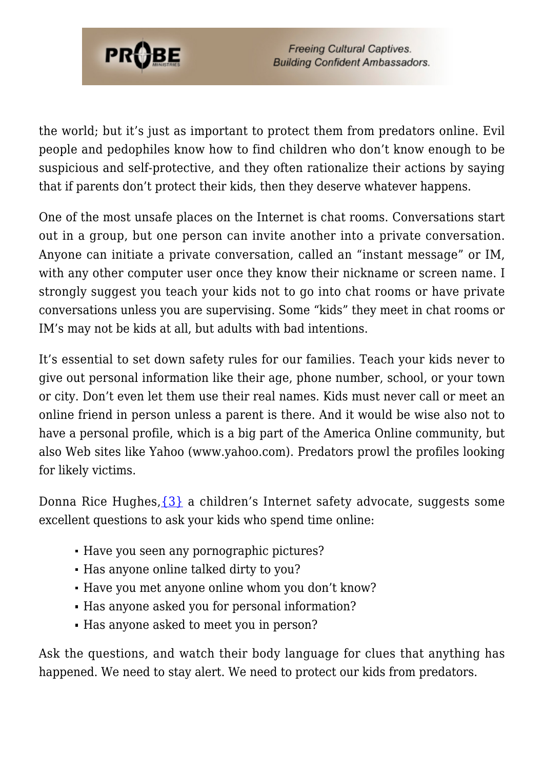

the world; but it's just as important to protect them from predators online. Evil people and pedophiles know how to find children who don't know enough to be suspicious and self-protective, and they often rationalize their actions by saying that if parents don't protect their kids, then they deserve whatever happens.

One of the most unsafe places on the Internet is chat rooms. Conversations start out in a group, but one person can invite another into a private conversation. Anyone can initiate a private conversation, called an "instant message" or IM, with any other computer user once they know their nickname or screen name. I strongly suggest you teach your kids not to go into chat rooms or have private conversations unless you are supervising. Some "kids" they meet in chat rooms or IM's may not be kids at all, but adults with bad intentions.

It's essential to set down safety rules for our families. Teach your kids never to give out personal information like their age, phone number, school, or your town or city. Don't even let them use their real names. Kids must never call or meet an online friend in person unless a parent is there. And it would be wise also not to have a personal profile, which is a big part of the America Online community, but also Web sites like Yahoo (www.yahoo.com). Predators prowl the profiles looking for likely victims.

Donna Rice Hughes,  $\{3\}$  a children's Internet safety advocate, suggests some excellent questions to ask your kids who spend time online:

- Have you seen any pornographic pictures?
- Has anyone online talked dirty to you?
- Have you met anyone online whom you don't know?
- Has anyone asked you for personal information?
- Has anyone asked to meet you in person?

Ask the questions, and watch their body language for clues that anything has happened. We need to stay alert. We need to protect our kids from predators.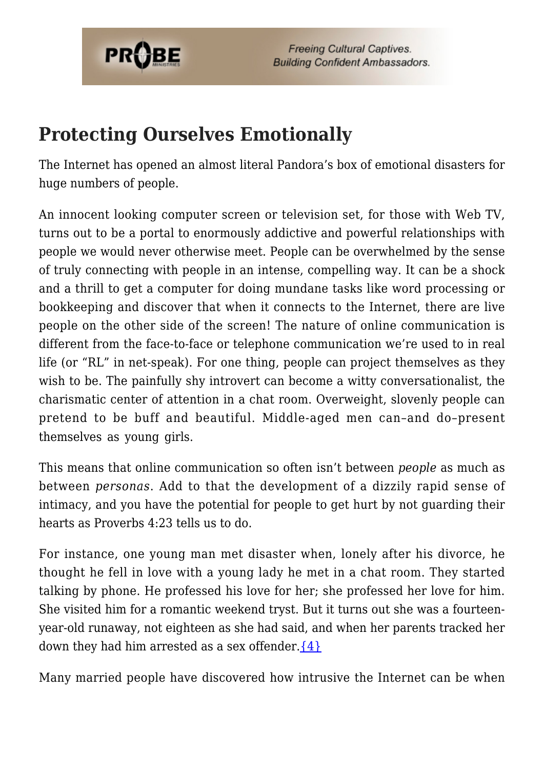

### **Protecting Ourselves Emotionally**

The Internet has opened an almost literal Pandora's box of emotional disasters for huge numbers of people.

An innocent looking computer screen or television set, for those with Web TV, turns out to be a portal to enormously addictive and powerful relationships with people we would never otherwise meet. People can be overwhelmed by the sense of truly connecting with people in an intense, compelling way. It can be a shock and a thrill to get a computer for doing mundane tasks like word processing or bookkeeping and discover that when it connects to the Internet, there are live people on the other side of the screen! The nature of online communication is different from the face-to-face or telephone communication we're used to in real life (or "RL" in net-speak). For one thing, people can project themselves as they wish to be. The painfully shy introvert can become a witty conversationalist, the charismatic center of attention in a chat room. Overweight, slovenly people can pretend to be buff and beautiful. Middle-aged men can–and do–present themselves as young girls.

This means that online communication so often isn't between *people* as much as between *personas*. Add to that the development of a dizzily rapid sense of intimacy, and you have the potential for people to get hurt by not guarding their hearts as Proverbs 4:23 tells us to do.

For instance, one young man met disaster when, lonely after his divorce, he thought he fell in love with a young lady he met in a chat room. They started talking by phone. He professed his love for her; she professed her love for him. She visited him for a romantic weekend tryst. But it turns out she was a fourteenyear-old runaway, not eighteen as she had said, and when her parents tracked her down they had him arrested as a sex offender.  $\{4\}$ 

Many married people have discovered how intrusive the Internet can be when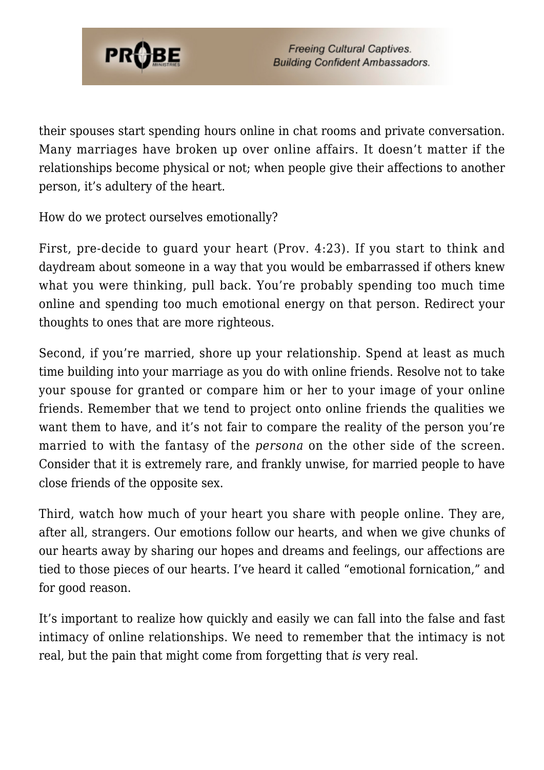

their spouses start spending hours online in chat rooms and private conversation. Many marriages have broken up over online affairs. It doesn't matter if the relationships become physical or not; when people give their affections to another person, it's adultery of the heart.

How do we protect ourselves emotionally?

First, pre-decide to guard your heart (Prov. 4:23). If you start to think and daydream about someone in a way that you would be embarrassed if others knew what you were thinking, pull back. You're probably spending too much time online and spending too much emotional energy on that person. Redirect your thoughts to ones that are more righteous.

Second, if you're married, shore up your relationship. Spend at least as much time building into your marriage as you do with online friends. Resolve not to take your spouse for granted or compare him or her to your image of your online friends. Remember that we tend to project onto online friends the qualities we want them to have, and it's not fair to compare the reality of the person you're married to with the fantasy of the *persona* on the other side of the screen. Consider that it is extremely rare, and frankly unwise, for married people to have close friends of the opposite sex.

Third, watch how much of your heart you share with people online. They are, after all, strangers. Our emotions follow our hearts, and when we give chunks of our hearts away by sharing our hopes and dreams and feelings, our affections are tied to those pieces of our hearts. I've heard it called "emotional fornication," and for good reason.

It's important to realize how quickly and easily we can fall into the false and fast intimacy of online relationships. We need to remember that the intimacy is not real, but the pain that might come from forgetting that *is* very real.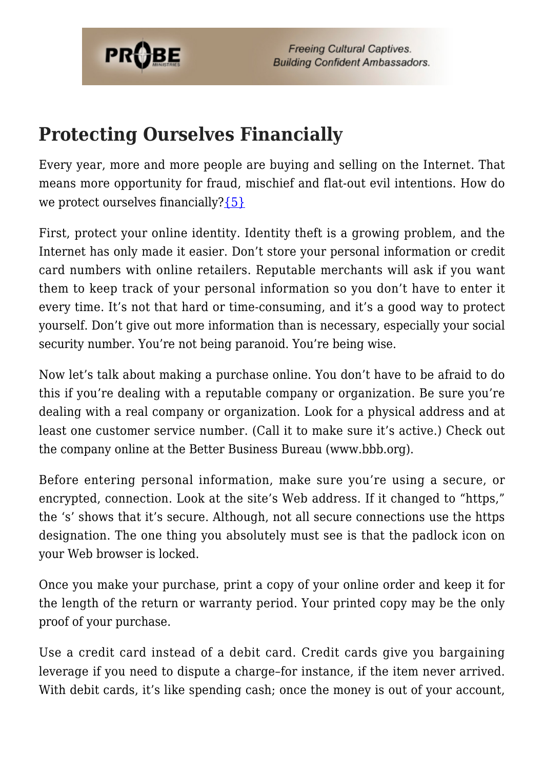

### **Protecting Ourselves Financially**

Every year, more and more people are buying and selling on the Internet. That means more opportunity for fraud, mischief and flat-out evil intentions. How do we protect ourselves financially? ${5}$ 

First, protect your online identity. Identity theft is a growing problem, and the Internet has only made it easier. Don't store your personal information or credit card numbers with online retailers. Reputable merchants will ask if you want them to keep track of your personal information so you don't have to enter it every time. It's not that hard or time-consuming, and it's a good way to protect yourself. Don't give out more information than is necessary, especially your social security number. You're not being paranoid. You're being wise.

Now let's talk about making a purchase online. You don't have to be afraid to do this if you're dealing with a reputable company or organization. Be sure you're dealing with a real company or organization. Look for a physical address and at least one customer service number. (Call it to make sure it's active.) Check out the company online at the Better Business Bureau (www.bbb.org).

Before entering personal information, make sure you're using a secure, or encrypted, connection. Look at the site's Web address. If it changed to "https," the 's' shows that it's secure. Although, not all secure connections use the https designation. The one thing you absolutely must see is that the padlock icon on your Web browser is locked.

Once you make your purchase, print a copy of your online order and keep it for the length of the return or warranty period. Your printed copy may be the only proof of your purchase.

Use a credit card instead of a debit card. Credit cards give you bargaining leverage if you need to dispute a charge–for instance, if the item never arrived. With debit cards, it's like spending cash; once the money is out of your account,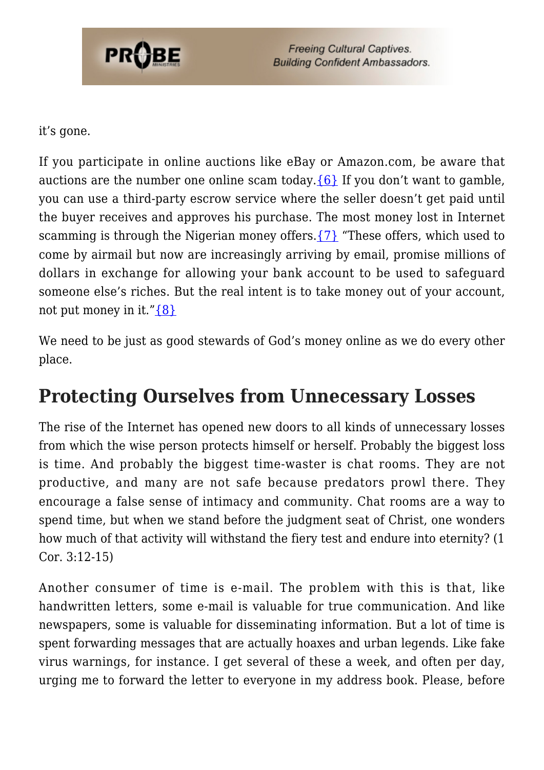

it's gone.

If you participate in online auctions like eBay or Amazon.com, be aware that auctions are the number one online scam today.  ${6}$  If you don't want to gamble, you can use a third-party escrow service where the seller doesn't get paid until the buyer receives and approves his purchase. The most money lost in Internet scamming is through the Nigerian money offers.[{7}](#page-36-4) "These offers, which used to come by airmail but now are increasingly arriving by email, promise millions of dollars in exchange for allowing your bank account to be used to safeguard someone else's riches. But the real intent is to take money out of your account, not put money in it." $\{8\}$ 

We need to be just as good stewards of God's money online as we do every other place.

## **Protecting Ourselves from Unnecessary Losses**

The rise of the Internet has opened new doors to all kinds of unnecessary losses from which the wise person protects himself or herself. Probably the biggest loss is time. And probably the biggest time-waster is chat rooms. They are not productive, and many are not safe because predators prowl there. They encourage a false sense of intimacy and community. Chat rooms are a way to spend time, but when we stand before the judgment seat of Christ, one wonders how much of that activity will withstand the fiery test and endure into eternity? (1 Cor. 3:12-15)

Another consumer of time is e-mail. The problem with this is that, like handwritten letters, some e-mail is valuable for true communication. And like newspapers, some is valuable for disseminating information. But a lot of time is spent forwarding messages that are actually hoaxes and urban legends. Like fake virus warnings, for instance. I get several of these a week, and often per day, urging me to forward the letter to everyone in my address book. Please, before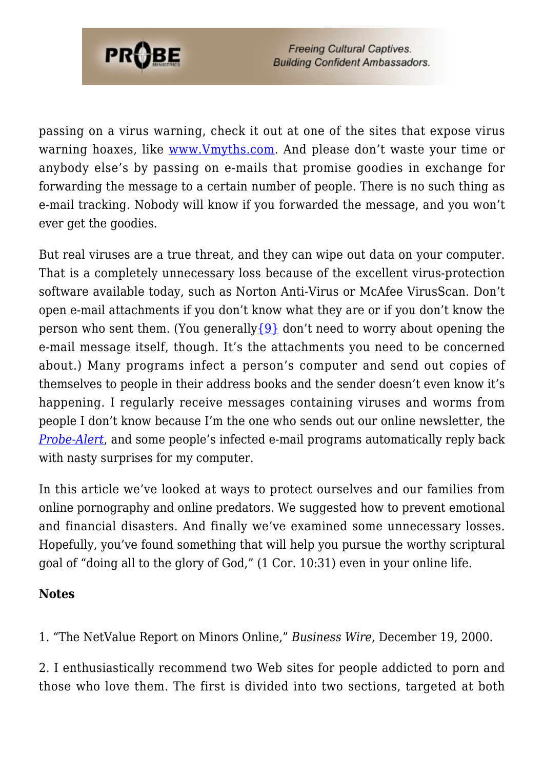

passing on a virus warning, check it out at one of the sites that expose virus warning hoaxes, like [www.Vmyths.com.](http://www.vmyths.com) And please don't waste your time or anybody else's by passing on e-mails that promise goodies in exchange for forwarding the message to a certain number of people. There is no such thing as e-mail tracking. Nobody will know if you forwarded the message, and you won't ever get the goodies.

But real viruses are a true threat, and they can wipe out data on your computer. That is a completely unnecessary loss because of the excellent virus-protection software available today, such as Norton Anti-Virus or McAfee VirusScan. Don't open e-mail attachments if you don't know what they are or if you don't know the person who sent them. (You generally  $\{9\}$  don't need to worry about opening the e-mail message itself, though. It's the attachments you need to be concerned about.) Many programs infect a person's computer and send out copies of themselves to people in their address books and the sender doesn't even know it's happening. I regularly receive messages containing viruses and worms from people I don't know because I'm the one who sends out our online newsletter, the *[Probe-Alert](https://www.probe.org/probe-alert/)*, and some people's infected e-mail programs automatically reply back with nasty surprises for my computer.

In this article we've looked at ways to protect ourselves and our families from online pornography and online predators. We suggested how to prevent emotional and financial disasters. And finally we've examined some unnecessary losses. Hopefully, you've found something that will help you pursue the worthy scriptural goal of "doing all to the glory of God," (1 Cor. 10:31) even in your online life.

#### **Notes**

<span id="page-35-1"></span><span id="page-35-0"></span>1. "The NetValue Report on Minors Online," *Business Wire*, December 19, 2000.

2. I enthusiastically recommend two Web sites for people addicted to porn and those who love them. The first is divided into two sections, targeted at both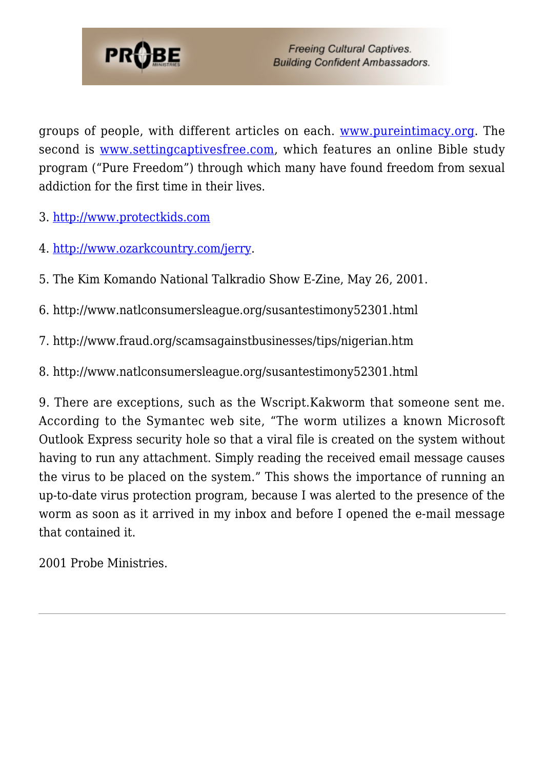

groups of people, with different articles on each. [www.pureintimacy.org.](http://www.pureintimacy.org) The second is [www.settingcaptivesfree.com](http://www.settingcaptivesfree.com), which features an online Bible study program ("Pure Freedom") through which many have found freedom from sexual addiction for the first time in their lives.

<span id="page-36-1"></span><span id="page-36-0"></span>3. <http://www.protectkids.com>

<span id="page-36-2"></span>4. <http://www.ozarkcountry.com/jerry>.

<span id="page-36-3"></span>5. The Kim Komando National Talkradio Show E-Zine, May 26, 2001.

<span id="page-36-4"></span>6. http://www.natlconsumersleague.org/susantestimony52301.html

<span id="page-36-5"></span>7. http://www.fraud.org/scamsagainstbusinesses/tips/nigerian.htm

<span id="page-36-6"></span>8. http://www.natlconsumersleague.org/susantestimony52301.html

9. There are exceptions, such as the Wscript.Kakworm that someone sent me. According to the Symantec web site, "The worm utilizes a known Microsoft Outlook Express security hole so that a viral file is created on the system without having to run any attachment. Simply reading the received email message causes the virus to be placed on the system." This shows the importance of running an up-to-date virus protection program, because I was alerted to the presence of the worm as soon as it arrived in my inbox and before I opened the e-mail message that contained it.

2001 Probe Ministries.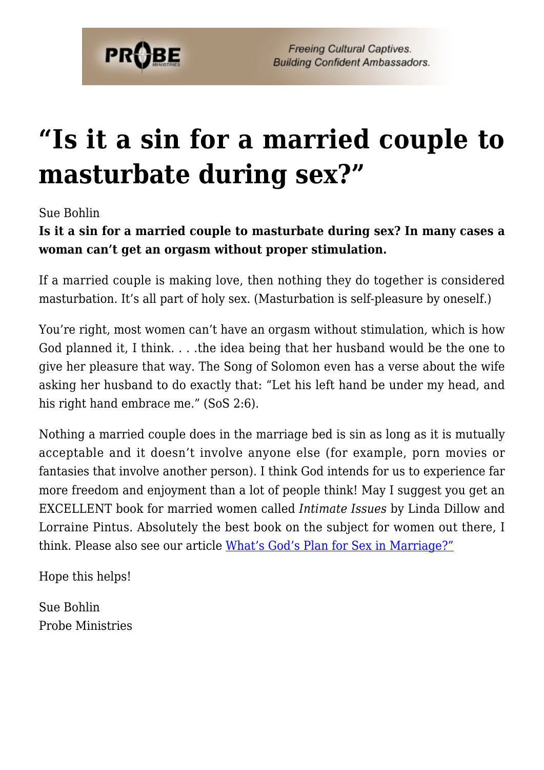

## **["Is it a sin for a married couple to](https://probe.org/is-it-a-sin-for-a-married-couple-to-masturbate-during-sex/) [masturbate during sex?"](https://probe.org/is-it-a-sin-for-a-married-couple-to-masturbate-during-sex/)**

Sue Bohlin

**Is it a sin for a married couple to masturbate during sex? In many cases a woman can't get an orgasm without proper stimulation.**

If a married couple is making love, then nothing they do together is considered masturbation. It's all part of holy sex. (Masturbation is self-pleasure by oneself.)

You're right, most women can't have an orgasm without stimulation, which is how God planned it, I think. . . .the idea being that her husband would be the one to give her pleasure that way. The Song of Solomon even has a verse about the wife asking her husband to do exactly that: "Let his left hand be under my head, and his right hand embrace me." (SoS 2:6).

Nothing a married couple does in the marriage bed is sin as long as it is mutually acceptable and it doesn't involve anyone else (for example, porn movies or fantasies that involve another person). I think God intends for us to experience far more freedom and enjoyment than a lot of people think! May I suggest you get an EXCELLENT book for married women called *Intimate Issues* by Linda Dillow and Lorraine Pintus. Absolutely the best book on the subject for women out there, I think. Please also see our article [What's God's Plan for Sex in Marriage?"](https://www.probe.org/whats-gods-plan-for-sex-in-marriage/)

Hope this helps!

Sue Bohlin Probe Ministries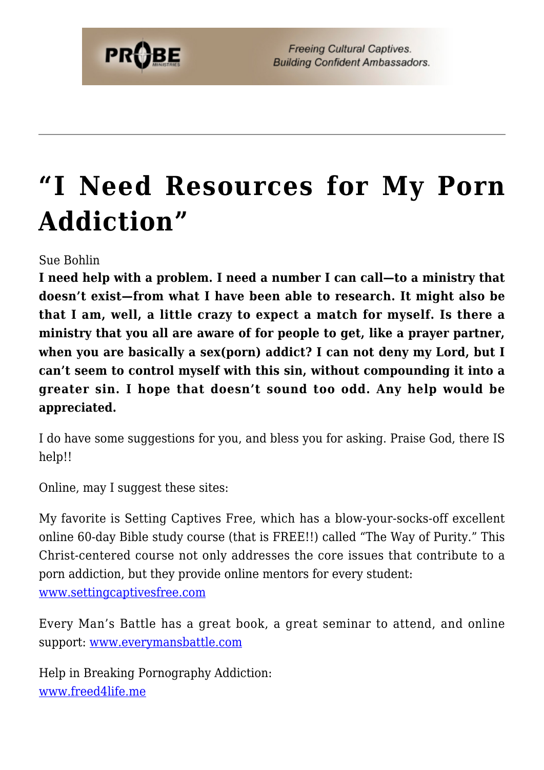## **["I Need Resources for My Porn](https://probe.org/i-need-resources-for-my-porn-addiction/) [Addiction"](https://probe.org/i-need-resources-for-my-porn-addiction/)**

Sue Bohlin

**I need help with a problem. I need a number I can call—to a ministry that doesn't exist—from what I have been able to research. It might also be that I am, well, a little crazy to expect a match for myself. Is there a ministry that you all are aware of for people to get, like a prayer partner, when you are basically a sex(porn) addict? I can not deny my Lord, but I can't seem to control myself with this sin, without compounding it into a greater sin. I hope that doesn't sound too odd. Any help would be appreciated.**

I do have some suggestions for you, and bless you for asking. Praise God, there IS help!!

Online, may I suggest these sites:

My favorite is Setting Captives Free, which has a blow-your-socks-off excellent online 60-day Bible study course (that is FREE!!) called "The Way of Purity." This Christ-centered course not only addresses the core issues that contribute to a porn addiction, but they provide online mentors for every student: [www.settingcaptivesfree.com](http://www.settingcaptivesfree.com)

Every Man's Battle has a great book, a great seminar to attend, and online support: [www.everymansbattle.com](http://www.everymansbattle.com)

Help in Breaking Pornography Addiction: [www.freed4life.me](https://www.freed4life.me)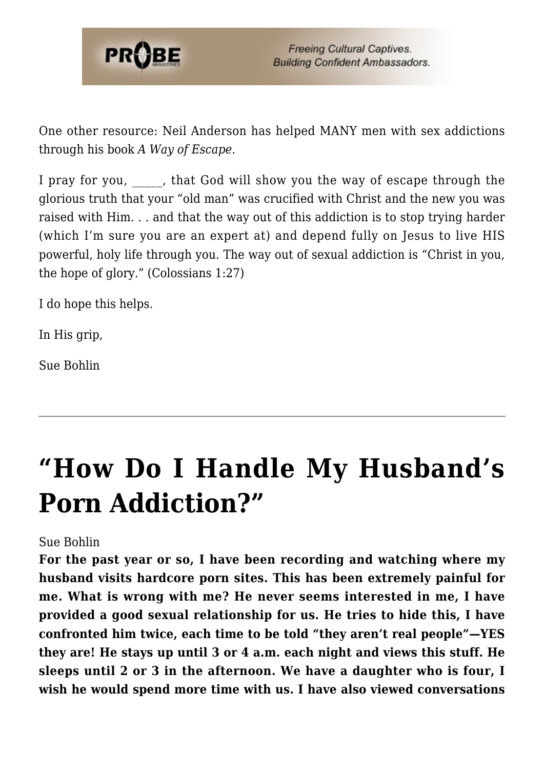

One other resource: Neil Anderson has helped MANY men with sex addictions through his book *A Way of Escape.*

I pray for you, that God will show you the way of escape through the glorious truth that your "old man" was crucified with Christ and the new you was raised with Him. . . and that the way out of this addiction is to stop trying harder (which I'm sure you are an expert at) and depend fully on Jesus to live HIS powerful, holy life through you. The way out of sexual addiction is "Christ in you, the hope of glory." (Colossians 1:27)

I do hope this helps.

In His grip,

Sue Bohlin

## **["How Do I Handle My Husband's](https://probe.org/how-do-i-handle-my-husbands-porn-addiction/) [Porn Addiction?"](https://probe.org/how-do-i-handle-my-husbands-porn-addiction/)**

#### Sue Bohlin

**For the past year or so, I have been recording and watching where my husband visits hardcore porn sites. This has been extremely painful for me. What is wrong with me? He never seems interested in me, I have provided a good sexual relationship for us. He tries to hide this, I have confronted him twice, each time to be told "they aren't real people"—YES they are! He stays up until 3 or 4 a.m. each night and views this stuff. He sleeps until 2 or 3 in the afternoon. We have a daughter who is four, I wish he would spend more time with us. I have also viewed conversations**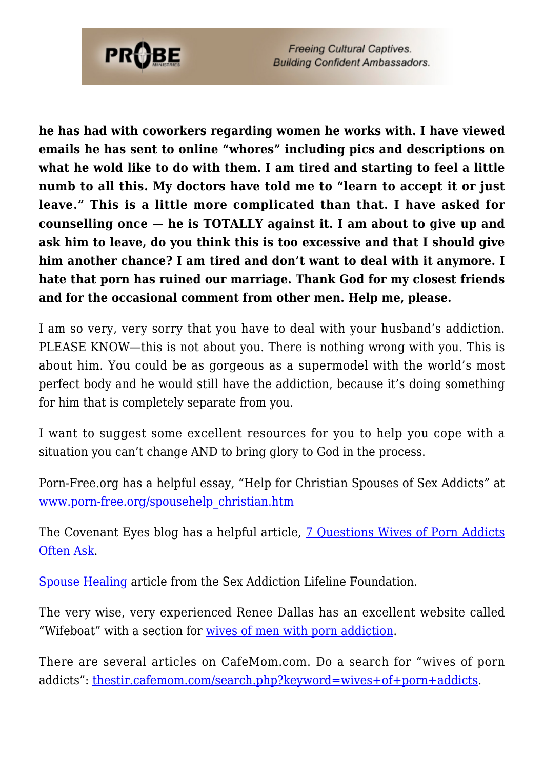

**he has had with coworkers regarding women he works with. I have viewed emails he has sent to online "whores" including pics and descriptions on what he wold like to do with them. I am tired and starting to feel a little numb to all this. My doctors have told me to "learn to accept it or just leave." This is a little more complicated than that. I have asked for counselling once — he is TOTALLY against it. I am about to give up and ask him to leave, do you think this is too excessive and that I should give him another chance? I am tired and don't want to deal with it anymore. I hate that porn has ruined our marriage. Thank God for my closest friends and for the occasional comment from other men. Help me, please.**

I am so very, very sorry that you have to deal with your husband's addiction. PLEASE KNOW—this is not about you. There is nothing wrong with you. This is about him. You could be as gorgeous as a supermodel with the world's most perfect body and he would still have the addiction, because it's doing something for him that is completely separate from you.

I want to suggest some excellent resources for you to help you cope with a situation you can't change AND to bring glory to God in the process.

Porn-Free.org has a helpful essay, "Help for Christian Spouses of Sex Addicts" at [www.porn-free.org/spousehelp\\_christian.htm](http://www.porn-free.org/spousehelp_christian.htm)

The Covenant Eyes blog has a helpful article, [7 Questions Wives of Porn Addicts](http://www.covenanteyes.com/2011/11/14/7-questions-wives-of-porn-addicts-often-ask-part-1-of-3/) [Often Ask](http://www.covenanteyes.com/2011/11/14/7-questions-wives-of-porn-addicts-often-ask-part-1-of-3/).

[Spouse Healing](https://salifeline.org/spouse-healing/) article from the Sex Addiction Lifeline Foundation.

The very wise, very experienced Renee Dallas has an excellent website called "Wifeboat" with a section for [wives of men with porn addiction.](http://www.wifeboat.com/category/wifesavers/wives-of-men-with-porn-addiction/)

There are several articles on CafeMom.com. Do a search for "wives of porn addicts": <u>thestir.cafemom.com/search.php?keyword=wives+of+porn+addicts</u>.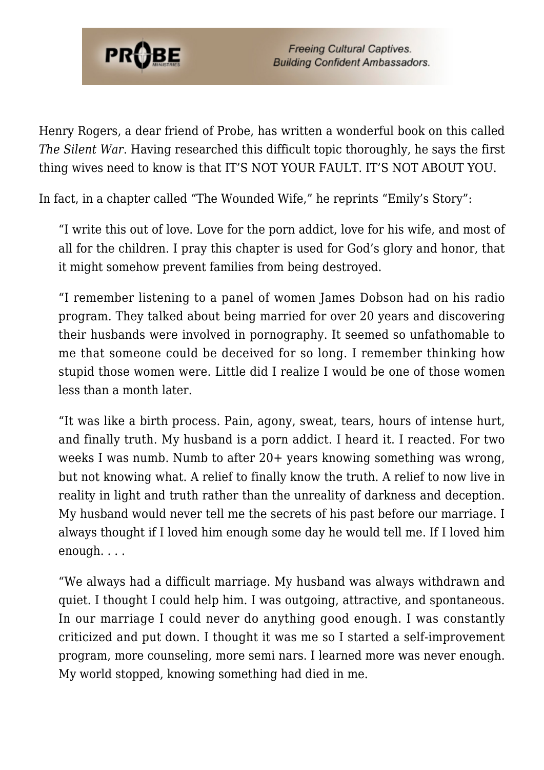

Henry Rogers, a dear friend of Probe, has written a wonderful book on this called *The Silent War*. Having researched this difficult topic thoroughly, he says the first thing wives need to know is that IT'S NOT YOUR FAULT. IT'S NOT ABOUT YOU.

In fact, in a chapter called "The Wounded Wife," he reprints "Emily's Story":

"I write this out of love. Love for the porn addict, love for his wife, and most of all for the children. I pray this chapter is used for God's glory and honor, that it might somehow prevent families from being destroyed.

"I remember listening to a panel of women James Dobson had on his radio program. They talked about being married for over 20 years and discovering their husbands were involved in pornography. It seemed so unfathomable to me that someone could be deceived for so long. I remember thinking how stupid those women were. Little did I realize I would be one of those women less than a month later.

"It was like a birth process. Pain, agony, sweat, tears, hours of intense hurt, and finally truth. My husband is a porn addict. I heard it. I reacted. For two weeks I was numb. Numb to after 20+ years knowing something was wrong, but not knowing what. A relief to finally know the truth. A relief to now live in reality in light and truth rather than the unreality of darkness and deception. My husband would never tell me the secrets of his past before our marriage. I always thought if I loved him enough some day he would tell me. If I loved him enough. . . .

"We always had a difficult marriage. My husband was always withdrawn and quiet. I thought I could help him. I was outgoing, attractive, and spontaneous. In our marriage I could never do anything good enough. I was constantly criticized and put down. I thought it was me so I started a self-improvement program, more counseling, more semi nars. I learned more was never enough. My world stopped, knowing something had died in me.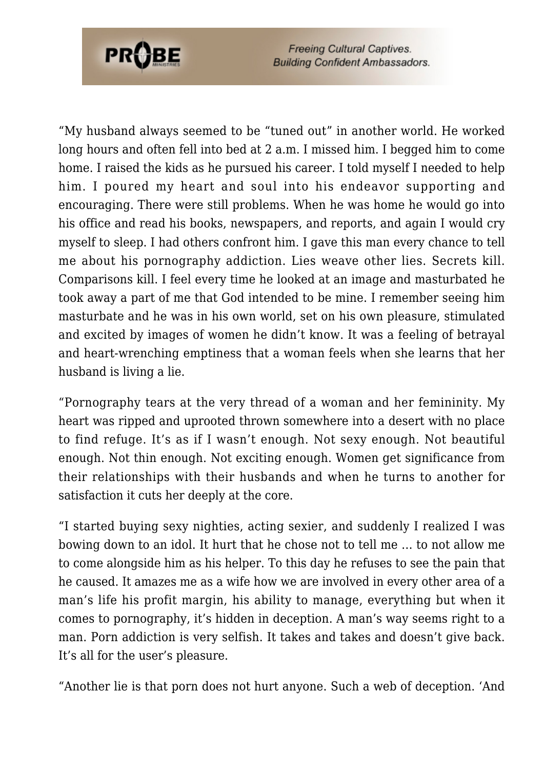

"My husband always seemed to be "tuned out" in another world. He worked long hours and often fell into bed at 2 a.m. I missed him. I begged him to come home. I raised the kids as he pursued his career. I told myself I needed to help him. I poured my heart and soul into his endeavor supporting and encouraging. There were still problems. When he was home he would go into his office and read his books, newspapers, and reports, and again I would cry myself to sleep. I had others confront him. I gave this man every chance to tell me about his pornography addiction. Lies weave other lies. Secrets kill. Comparisons kill. I feel every time he looked at an image and masturbated he took away a part of me that God intended to be mine. I remember seeing him masturbate and he was in his own world, set on his own pleasure, stimulated and excited by images of women he didn't know. It was a feeling of betrayal and heart-wrenching emptiness that a woman feels when she learns that her husband is living a lie.

"Pornography tears at the very thread of a woman and her femininity. My heart was ripped and uprooted thrown somewhere into a desert with no place to find refuge. It's as if I wasn't enough. Not sexy enough. Not beautiful enough. Not thin enough. Not exciting enough. Women get significance from their relationships with their husbands and when he turns to another for satisfaction it cuts her deeply at the core.

"I started buying sexy nighties, acting sexier, and suddenly I realized I was bowing down to an idol. It hurt that he chose not to tell me … to not allow me to come alongside him as his helper. To this day he refuses to see the pain that he caused. It amazes me as a wife how we are involved in every other area of a man's life his profit margin, his ability to manage, everything but when it comes to pornography, it's hidden in deception. A man's way seems right to a man. Porn addiction is very selfish. It takes and takes and doesn't give back. It's all for the user's pleasure.

"Another lie is that porn does not hurt anyone. Such a web of deception. 'And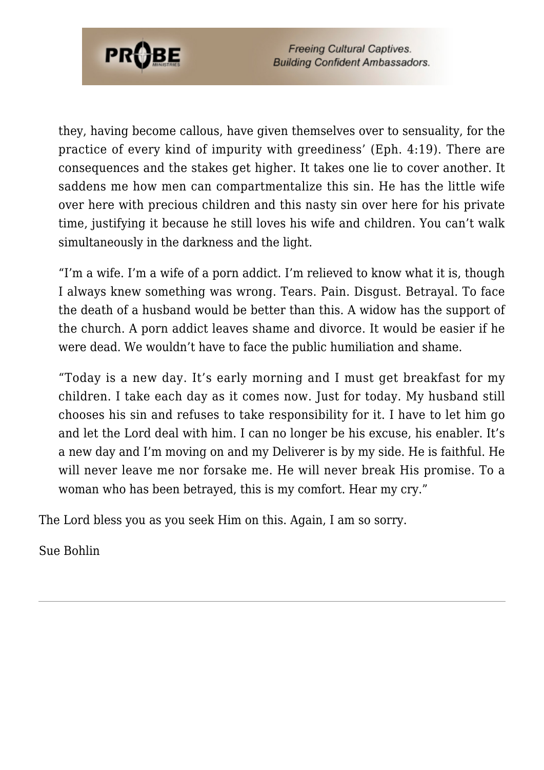

they, having become callous, have given themselves over to sensuality, for the practice of every kind of impurity with greediness' (Eph. 4:19). There are consequences and the stakes get higher. It takes one lie to cover another. It saddens me how men can compartmentalize this sin. He has the little wife over here with precious children and this nasty sin over here for his private time, justifying it because he still loves his wife and children. You can't walk simultaneously in the darkness and the light.

"I'm a wife. I'm a wife of a porn addict. I'm relieved to know what it is, though I always knew something was wrong. Tears. Pain. Disgust. Betrayal. To face the death of a husband would be better than this. A widow has the support of the church. A porn addict leaves shame and divorce. It would be easier if he were dead. We wouldn't have to face the public humiliation and shame.

"Today is a new day. It's early morning and I must get breakfast for my children. I take each day as it comes now. Just for today. My husband still chooses his sin and refuses to take responsibility for it. I have to let him go and let the Lord deal with him. I can no longer be his excuse, his enabler. It's a new day and I'm moving on and my Deliverer is by my side. He is faithful. He will never leave me nor forsake me. He will never break His promise. To a woman who has been betrayed, this is my comfort. Hear my cry."

The Lord bless you as you seek Him on this. Again, I am so sorry.

Sue Bohlin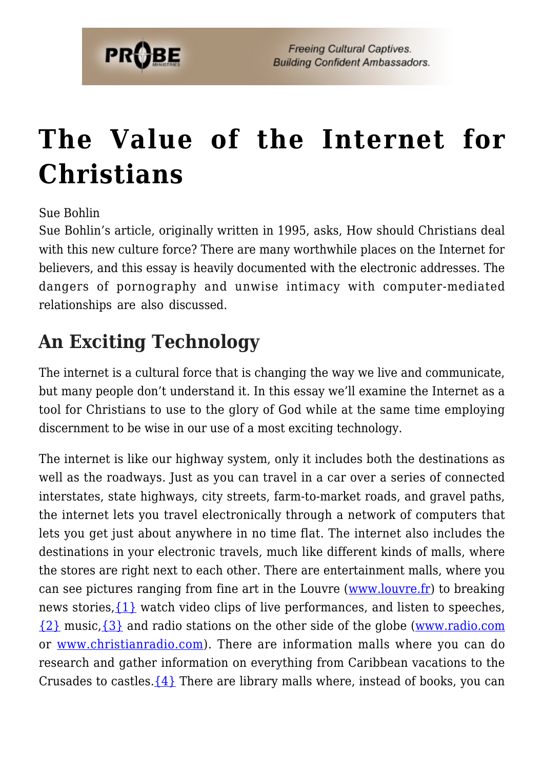

## **[The Value of the Internet for](https://probe.org/the-value-of-the-internet-for-christians/) [Christians](https://probe.org/the-value-of-the-internet-for-christians/)**

Sue Bohlin

Sue Bohlin's article, originally written in 1995, asks, How should Christians deal with this new culture force? There are many worthwhile places on the Internet for believers, and this essay is heavily documented with the electronic addresses. The dangers of pornography and unwise intimacy with computer-mediated relationships are also discussed.

## **An Exciting Technology**

The internet is a cultural force that is changing the way we live and communicate, but many people don't understand it. In this essay we'll examine the Internet as a tool for Christians to use to the glory of God while at the same time employing discernment to be wise in our use of a most exciting technology.

The internet is like our highway system, only it includes both the destinations as well as the roadways. Just as you can travel in a car over a series of connected interstates, state highways, city streets, farm-to-market roads, and gravel paths, the internet lets you travel electronically through a network of computers that lets you get just about anywhere in no time flat. The internet also includes the destinations in your electronic travels, much like different kinds of malls, where the stores are right next to each other. There are entertainment malls, where you can see pictures ranging from fine art in the Louvre ([www.louvre.fr](http://www.louvre.fr)) to breaking news stories,  $\{1\}$  watch video clips of live performances, and listen to speeches, [{2}](#page-35-1) music[,{3}](#page-36-0) and radio stations on the other side of the globe ([www.radio.com](http://www.radio.com) or [www.christianradio.com\)](http://www.christianradio.com). There are information malls where you can do research and gather information on everything from Caribbean vacations to the Crusades to castles. $\{4\}$  There are library malls where, instead of books, you can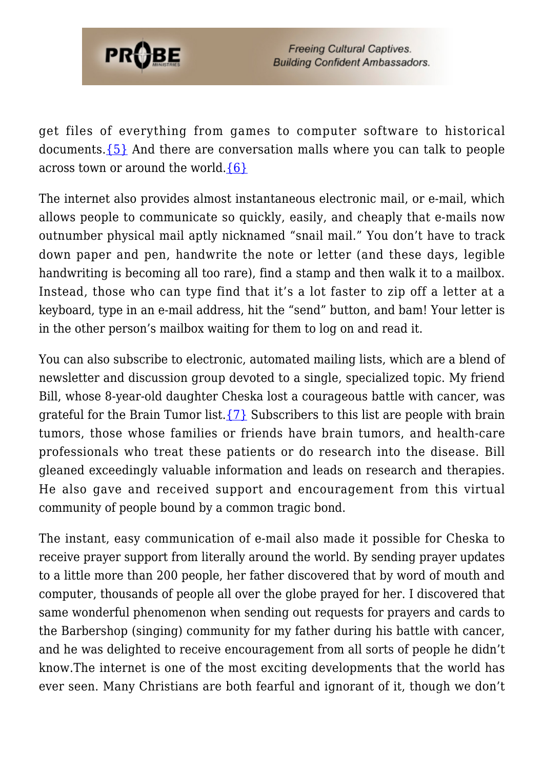

get files of everything from games to computer software to historical documents. $\{5\}$  And there are conversation malls where you can talk to people across town or around the world. ${6}$ 

The internet also provides almost instantaneous electronic mail, or e-mail, which allows people to communicate so quickly, easily, and cheaply that e-mails now outnumber physical mail aptly nicknamed "snail mail." You don't have to track down paper and pen, handwrite the note or letter (and these days, legible handwriting is becoming all too rare), find a stamp and then walk it to a mailbox. Instead, those who can type find that it's a lot faster to zip off a letter at a keyboard, type in an e-mail address, hit the "send" button, and bam! Your letter is in the other person's mailbox waiting for them to log on and read it.

You can also subscribe to electronic, automated mailing lists, which are a blend of newsletter and discussion group devoted to a single, specialized topic. My friend Bill, whose 8-year-old daughter Cheska lost a courageous battle with cancer, was grateful for the Brain Tumor list.  $\{7\}$  Subscribers to this list are people with brain tumors, those whose families or friends have brain tumors, and health-care professionals who treat these patients or do research into the disease. Bill gleaned exceedingly valuable information and leads on research and therapies. He also gave and received support and encouragement from this virtual community of people bound by a common tragic bond.

The instant, easy communication of e-mail also made it possible for Cheska to receive prayer support from literally around the world. By sending prayer updates to a little more than 200 people, her father discovered that by word of mouth and computer, thousands of people all over the globe prayed for her. I discovered that same wonderful phenomenon when sending out requests for prayers and cards to the Barbershop (singing) community for my father during his battle with cancer, and he was delighted to receive encouragement from all sorts of people he didn't know.The internet is one of the most exciting developments that the world has ever seen. Many Christians are both fearful and ignorant of it, though we don't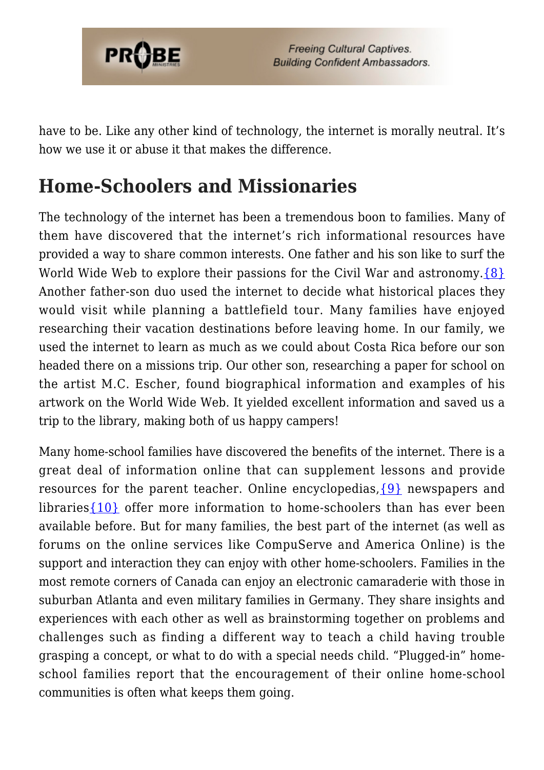

have to be. Like any other kind of technology, the internet is morally neutral. It's how we use it or abuse it that makes the difference.

## **Home-Schoolers and Missionaries**

The technology of the internet has been a tremendous boon to families. Many of them have discovered that the internet's rich informational resources have provided a way to share common interests. One father and his son like to surf the World Wide Web to explore their passions for the Civil War and astronomy.  $\{8\}$ Another father-son duo used the internet to decide what historical places they would visit while planning a battlefield tour. Many families have enjoyed researching their vacation destinations before leaving home. In our family, we used the internet to learn as much as we could about Costa Rica before our son headed there on a missions trip. Our other son, researching a paper for school on the artist M.C. Escher, found biographical information and examples of his artwork on the World Wide Web. It yielded excellent information and saved us a trip to the library, making both of us happy campers!

Many home-school families have discovered the benefits of the internet. There is a great deal of information online that can supplement lessons and provide resources for the parent teacher. Online encyclopedias,[{9}](#page-36-6) newspapers and libraries $\{10\}$  offer more information to home-schoolers than has ever been available before. But for many families, the best part of the internet (as well as forums on the online services like CompuServe and America Online) is the support and interaction they can enjoy with other home-schoolers. Families in the most remote corners of Canada can enjoy an electronic camaraderie with those in suburban Atlanta and even military families in Germany. They share insights and experiences with each other as well as brainstorming together on problems and challenges such as finding a different way to teach a child having trouble grasping a concept, or what to do with a special needs child. "Plugged-in" homeschool families report that the encouragement of their online home-school communities is often what keeps them going.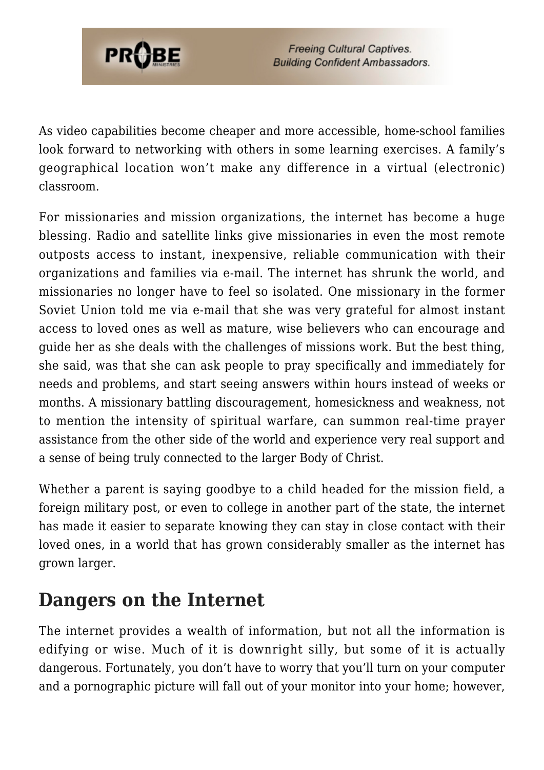

As video capabilities become cheaper and more accessible, home-school families look forward to networking with others in some learning exercises. A family's geographical location won't make any difference in a virtual (electronic) classroom.

For missionaries and mission organizations, the internet has become a huge blessing. Radio and satellite links give missionaries in even the most remote outposts access to instant, inexpensive, reliable communication with their organizations and families via e-mail. The internet has shrunk the world, and missionaries no longer have to feel so isolated. One missionary in the former Soviet Union told me via e-mail that she was very grateful for almost instant access to loved ones as well as mature, wise believers who can encourage and guide her as she deals with the challenges of missions work. But the best thing, she said, was that she can ask people to pray specifically and immediately for needs and problems, and start seeing answers within hours instead of weeks or months. A missionary battling discouragement, homesickness and weakness, not to mention the intensity of spiritual warfare, can summon real-time prayer assistance from the other side of the world and experience very real support and a sense of being truly connected to the larger Body of Christ.

Whether a parent is saying goodbye to a child headed for the mission field, a foreign military post, or even to college in another part of the state, the internet has made it easier to separate knowing they can stay in close contact with their loved ones, in a world that has grown considerably smaller as the internet has grown larger.

### **Dangers on the Internet**

The internet provides a wealth of information, but not all the information is edifying or wise. Much of it is downright silly, but some of it is actually dangerous. Fortunately, you don't have to worry that you'll turn on your computer and a pornographic picture will fall out of your monitor into your home; however,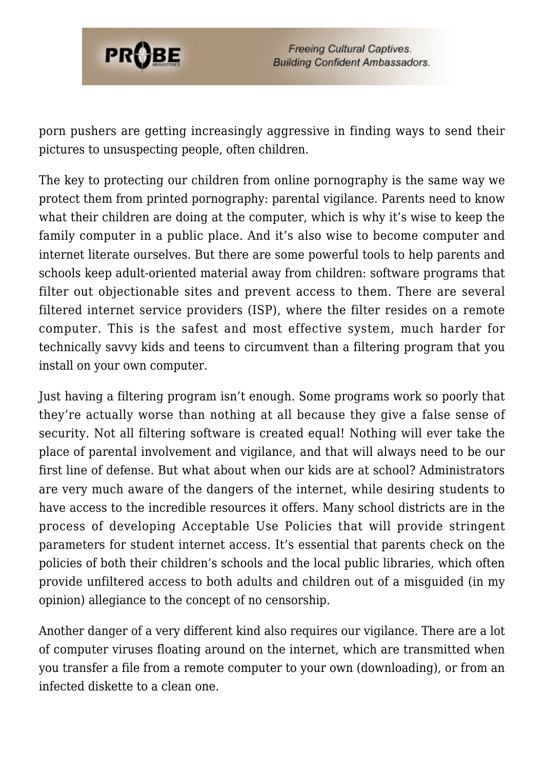

porn pushers are getting increasingly aggressive in finding ways to send their pictures to unsuspecting people, often children.

The key to protecting our children from online pornography is the same way we protect them from printed pornography: parental vigilance. Parents need to know what their children are doing at the computer, which is why it's wise to keep the family computer in a public place. And it's also wise to become computer and internet literate ourselves. But there are some powerful tools to help parents and schools keep adult-oriented material away from children: software programs that filter out objectionable sites and prevent access to them. There are several filtered internet service providers (ISP), where the filter resides on a remote computer. This is the safest and most effective system, much harder for technically savvy kids and teens to circumvent than a filtering program that you install on your own computer.

Just having a filtering program isn't enough. Some programs work so poorly that they're actually worse than nothing at all because they give a false sense of security. Not all filtering software is created equal! Nothing will ever take the place of parental involvement and vigilance, and that will always need to be our first line of defense. But what about when our kids are at school? Administrators are very much aware of the dangers of the internet, while desiring students to have access to the incredible resources it offers. Many school districts are in the process of developing Acceptable Use Policies that will provide stringent parameters for student internet access. It's essential that parents check on the policies of both their children's schools and the local public libraries, which often provide unfiltered access to both adults and children out of a misguided (in my opinion) allegiance to the concept of no censorship.

Another danger of a very different kind also requires our vigilance. There are a lot of computer viruses floating around on the internet, which are transmitted when you transfer a file from a remote computer to your own (downloading), or from an infected diskette to a clean one.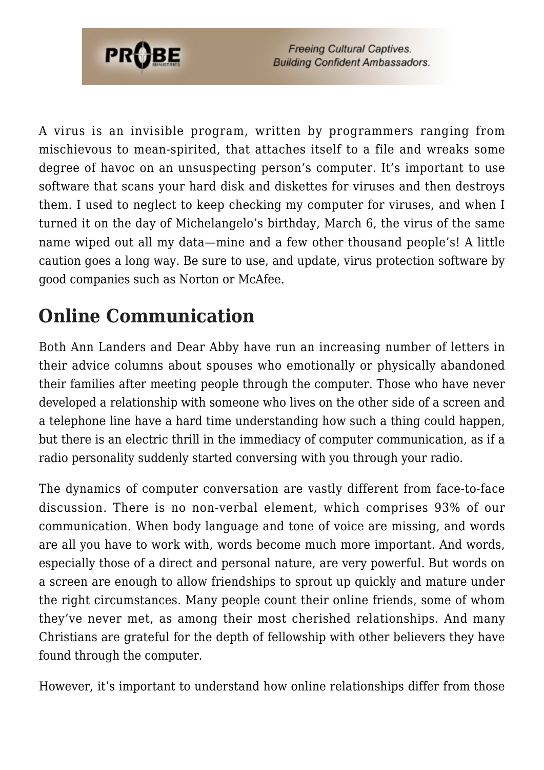

A virus is an invisible program, written by programmers ranging from mischievous to mean-spirited, that attaches itself to a file and wreaks some degree of havoc on an unsuspecting person's computer. It's important to use software that scans your hard disk and diskettes for viruses and then destroys them. I used to neglect to keep checking my computer for viruses, and when I turned it on the day of Michelangelo's birthday, March 6, the virus of the same name wiped out all my data—mine and a few other thousand people's! A little caution goes a long way. Be sure to use, and update, virus protection software by good companies such as Norton or McAfee.

## **Online Communication**

Both Ann Landers and Dear Abby have run an increasing number of letters in their advice columns about spouses who emotionally or physically abandoned their families after meeting people through the computer. Those who have never developed a relationship with someone who lives on the other side of a screen and a telephone line have a hard time understanding how such a thing could happen, but there is an electric thrill in the immediacy of computer communication, as if a radio personality suddenly started conversing with you through your radio.

The dynamics of computer conversation are vastly different from face-to-face discussion. There is no non-verbal element, which comprises 93% of our communication. When body language and tone of voice are missing, and words are all you have to work with, words become much more important. And words, especially those of a direct and personal nature, are very powerful. But words on a screen are enough to allow friendships to sprout up quickly and mature under the right circumstances. Many people count their online friends, some of whom they've never met, as among their most cherished relationships. And many Christians are grateful for the depth of fellowship with other believers they have found through the computer.

However, it's important to understand how online relationships differ from those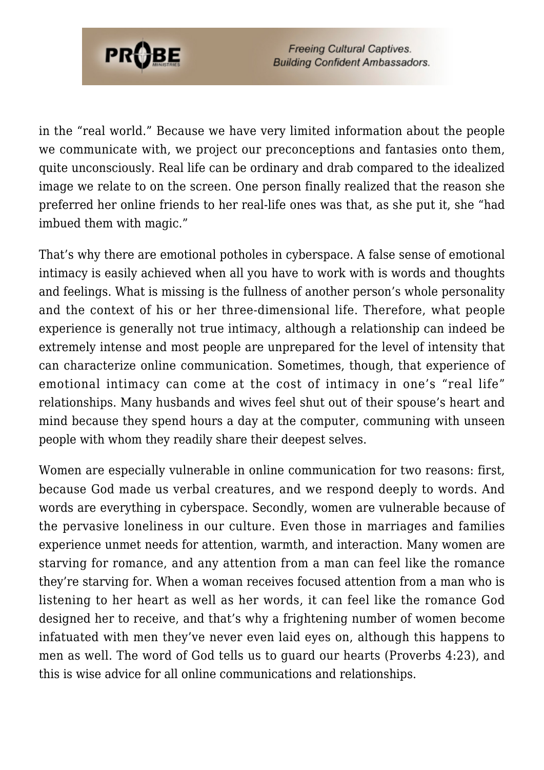

in the "real world." Because we have very limited information about the people we communicate with, we project our preconceptions and fantasies onto them, quite unconsciously. Real life can be ordinary and drab compared to the idealized image we relate to on the screen. One person finally realized that the reason she preferred her online friends to her real-life ones was that, as she put it, she "had imbued them with magic."

That's why there are emotional potholes in cyberspace. A false sense of emotional intimacy is easily achieved when all you have to work with is words and thoughts and feelings. What is missing is the fullness of another person's whole personality and the context of his or her three-dimensional life. Therefore, what people experience is generally not true intimacy, although a relationship can indeed be extremely intense and most people are unprepared for the level of intensity that can characterize online communication. Sometimes, though, that experience of emotional intimacy can come at the cost of intimacy in one's "real life" relationships. Many husbands and wives feel shut out of their spouse's heart and mind because they spend hours a day at the computer, communing with unseen people with whom they readily share their deepest selves.

Women are especially vulnerable in online communication for two reasons: first, because God made us verbal creatures, and we respond deeply to words. And words are everything in cyberspace. Secondly, women are vulnerable because of the pervasive loneliness in our culture. Even those in marriages and families experience unmet needs for attention, warmth, and interaction. Many women are starving for romance, and any attention from a man can feel like the romance they're starving for. When a woman receives focused attention from a man who is listening to her heart as well as her words, it can feel like the romance God designed her to receive, and that's why a frightening number of women become infatuated with men they've never even laid eyes on, although this happens to men as well. The word of God tells us to guard our hearts (Proverbs 4:23), and this is wise advice for all online communications and relationships.